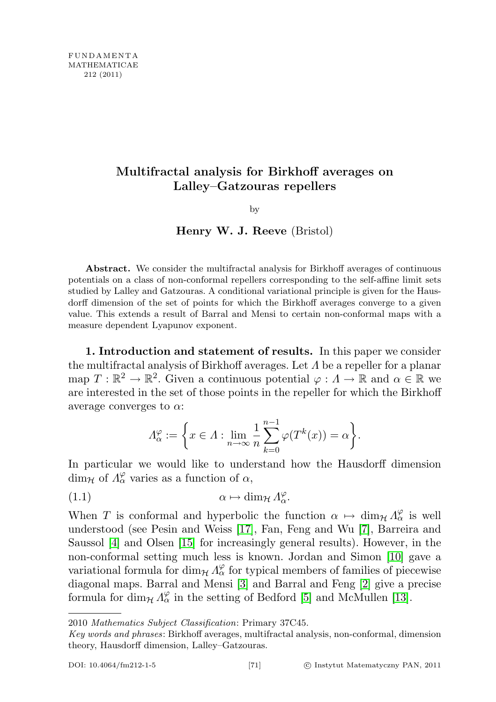## Multifractal analysis for Birkhoff averages on Lalley–Gatzouras repellers

by

Henry W. J. Reeve (Bristol)

Abstract. We consider the multifractal analysis for Birkhoff averages of continuous potentials on a class of non-conformal repellers corresponding to the self-affine limit sets studied by Lalley and Gatzouras. A conditional variational principle is given for the Hausdorff dimension of the set of points for which the Birkhoff averages converge to a given value. This extends a result of Barral and Mensi to certain non-conformal maps with a measure dependent Lyapunov exponent.

1. Introduction and statement of results. In this paper we consider the multifractal analysis of Birkhoff averages. Let  $\Lambda$  be a repeller for a planar map  $T: \mathbb{R}^2 \to \mathbb{R}^2$ . Given a continuous potential  $\varphi: \Lambda \to \mathbb{R}$  and  $\alpha \in \mathbb{R}$  we are interested in the set of those points in the repeller for which the Birkhoff average converges to  $\alpha$ :

<span id="page-0-0"></span>
$$
\Lambda_{\alpha}^{\varphi} := \left\{ x \in \Lambda : \lim_{n \to \infty} \frac{1}{n} \sum_{k=0}^{n-1} \varphi(T^k(x)) = \alpha \right\}.
$$

In particular we would like to understand how the Hausdorff dimension dim<sub>H</sub> of  $\Lambda^{\varphi}_{\alpha}$  varies as a function of  $\alpha$ ,

(1.1) 
$$
\alpha \mapsto \dim_{\mathcal{H}} \Lambda^{\varphi}_{\alpha}.
$$

When T is conformal and hyperbolic the function  $\alpha \mapsto \dim_{\mathcal{H}} \Lambda_{\alpha}^{\varphi}$  is well understood (see Pesin and Weiss [\[17\]](#page-22-0), Fan, Feng and Wu [\[7\]](#page-21-0), Barreira and Saussol [\[4\]](#page-21-1) and Olsen [\[15\]](#page-22-1) for increasingly general results). However, in the non-conformal setting much less is known. Jordan and Simon [\[10\]](#page-21-2) gave a variational formula for dim<sub>H</sub>  $\Lambda_{\alpha}^{\varphi}$  for typical members of families of piecewise diagonal maps. Barral and Mensi [\[3\]](#page-21-3) and Barral and Feng [\[2\]](#page-21-4) give a precise formula for  $\dim_{\mathcal{H}} \Lambda_{\alpha}^{\varphi}$  in the setting of Bedford [\[5\]](#page-21-5) and McMullen [\[13\]](#page-22-2).

<sup>2010</sup> Mathematics Subject Classification: Primary 37C45.

Key words and phrases: Birkhoff averages, multifractal analysis, non-conformal, dimension theory, Hausdorff dimension, Lalley–Gatzouras.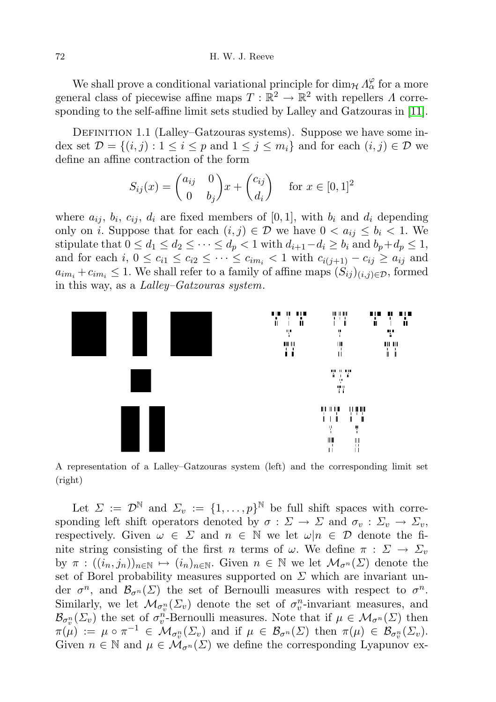We shall prove a conditional variational principle for  $\dim_{\mathcal{H}} \Lambda^{\varphi}_{\alpha}$  for a more general class of piecewise affine maps  $T: \mathbb{R}^2 \to \mathbb{R}^2$  with repellers  $\Lambda$  corresponding to the self-affine limit sets studied by Lalley and Gatzouras in [\[11\]](#page-22-3).

DEFINITION 1.1 (Lalley–Gatzouras systems). Suppose we have some index set  $\mathcal{D} = \{(i, j) : 1 \leq i \leq p \text{ and } 1 \leq j \leq m_i\}$  and for each  $(i, j) \in \mathcal{D}$  we define an affine contraction of the form

$$
S_{ij}(x) = \begin{pmatrix} a_{ij} & 0 \\ 0 & b_j \end{pmatrix} x + \begin{pmatrix} c_{ij} \\ d_i \end{pmatrix} \quad \text{for } x \in [0, 1]^2
$$

where  $a_{ij}$ ,  $b_i$ ,  $c_{ij}$ ,  $d_i$  are fixed members of [0,1], with  $b_i$  and  $d_i$  depending only on *i*. Suppose that for each  $(i, j) \in \mathcal{D}$  we have  $0 < a_{ij} \le b_i < 1$ . We stipulate that  $0 \leq d_1 \leq d_2 \leq \cdots \leq d_p < 1$  with  $d_{i+1}-d_i \geq b_i$  and  $b_p+d_p \leq 1$ , and for each  $i, 0 \leq c_{i1} \leq c_{i2} \leq \cdots \leq c_{im_i} < 1$  with  $c_{i(j+1)} - c_{ij} \geq a_{ij}$  and  $a_{im_i} + c_{im_i} \leq 1$ . We shall refer to a family of affine maps  $(S_{ij})_{(i,j)\in\mathcal{D}}$ , formed in this way, as a Lalley–Gatzouras system.



A representation of a Lalley–Gatzouras system (left) and the corresponding limit set (right)

Let  $\Sigma := \mathcal{D}^{\mathbb{N}}$  and  $\Sigma_v := \{1, \ldots, p\}^{\mathbb{N}}$  be full shift spaces with corresponding left shift operators denoted by  $\sigma : \Sigma \to \Sigma$  and  $\sigma_v : \Sigma_v \to \Sigma_v$ , respectively. Given  $\omega \in \Sigma$  and  $n \in \mathbb{N}$  we let  $\omega | n \in \mathcal{D}$  denote the finite string consisting of the first n terms of  $\omega$ . We define  $\pi : \Sigma \to \Sigma_v$ by  $\pi : ((i_n, j_n))_{n \in \mathbb{N}} \mapsto (i_n)_{n \in \mathbb{N}}$ . Given  $n \in \mathbb{N}$  we let  $\mathcal{M}_{\sigma^n}(\Sigma)$  denote the set of Borel probability measures supported on  $\Sigma$  which are invariant under  $\sigma^n$ , and  $\mathcal{B}_{\sigma^n}(\Sigma)$  the set of Bernoulli measures with respect to  $\sigma^n$ . Similarly, we let  $\mathcal{M}_{\sigma_v^n}(\Sigma_v)$  denote the set of  $\sigma_v^n$ -invariant measures, and  $\mathcal{B}_{\sigma_v^n}(\Sigma_v)$  the set of  $\sigma_v^n$ -Bernoulli measures. Note that if  $\mu \in \mathcal{M}_{\sigma^n}(\Sigma)$  then  $\pi(\mu) := \mu \circ \pi^{-1} \in \mathcal{M}_{\sigma_v^n}(\Sigma_v) \text{ and if } \mu \in \mathcal{B}_{\sigma^n}(\Sigma) \text{ then } \pi(\mu) \in \mathcal{B}_{\sigma_v^n}(\Sigma_v).$ Given  $n \in \mathbb{N}$  and  $\mu \in \mathcal{M}_{\sigma^{n}}(\Sigma)$  we define the corresponding Lyapunov ex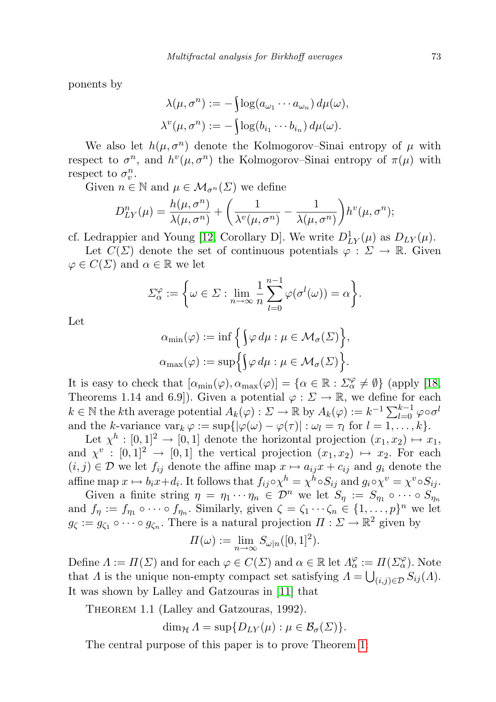ponents by

$$
\lambda(\mu, \sigma^n) := -\int \log(a_{\omega_1} \cdots a_{\omega_n}) d\mu(\omega),
$$
  

$$
\lambda^v(\mu, \sigma^n) := -\int \log(b_{i_1} \cdots b_{i_n}) d\mu(\omega).
$$

We also let  $h(\mu, \sigma^n)$  denote the Kolmogorov–Sinai entropy of  $\mu$  with respect to  $\sigma^n$ , and  $h^v(\mu, \sigma^n)$  the Kolmogorov–Sinai entropy of  $\pi(\mu)$  with respect to  $\sigma_v^n$ .

Given  $n \in \mathbb{N}$  and  $\mu \in \mathcal{M}_{\sigma^{n}}(\Sigma)$  we define

$$
D_{LY}^n(\mu) = \frac{h(\mu, \sigma^n)}{\lambda(\mu, \sigma^n)} + \left(\frac{1}{\lambda^v(\mu, \sigma^n)} - \frac{1}{\lambda(\mu, \sigma^n)}\right) h^v(\mu, \sigma^n);
$$

cf. Ledrappier and Young [\[12,](#page-22-4) Corollary D]. We write  $D_{LY}^1(\mu)$  as  $D_{LY}(\mu)$ .

Let  $C(\Sigma)$  denote the set of continuous potentials  $\varphi : \Sigma \to \mathbb{R}$ . Given  $\varphi \in C(\Sigma)$  and  $\alpha \in \mathbb{R}$  we let

$$
\Sigma_{\alpha}^{\varphi} := \left\{ \omega \in \Sigma : \lim_{n \to \infty} \frac{1}{n} \sum_{l=0}^{n-1} \varphi(\sigma^{l}(\omega)) = \alpha \right\}.
$$

Let

$$
\alpha_{\min}(\varphi) := \inf \Big\{ \Big\{ \varphi \, d\mu : \mu \in \mathcal{M}_{\sigma}(\Sigma) \Big\},
$$
  

$$
\alpha_{\max}(\varphi) := \sup \Big\{ \Big\{ \varphi \, d\mu : \mu \in \mathcal{M}_{\sigma}(\Sigma) \Big\}.
$$

It is easy to check that  $[\alpha_{\min}(\varphi), \alpha_{\max}(\varphi)] = {\alpha \in \mathbb{R} : \Sigma_{\alpha}^{\varphi} \neq \emptyset}$  (apply [\[18,](#page-22-5) Theorems 1.14 and 6.9]). Given a potential  $\varphi : \Sigma \to \mathbb{R}$ , we define for each  $k \in \mathbb{N}$  the kth average potential  $A_k(\varphi) : \Sigma \to \mathbb{R}$  by  $A_k(\varphi) := k^{-1} \sum_{l=0}^{k-1} \varphi \circ \sigma^l$ and the k-variance  $\text{var}_k \varphi := \sup \{ |\varphi(\omega) - \varphi(\tau)| : \omega_l = \tau_l \text{ for } l = 1, \ldots, k \}.$ 

Let  $\chi^h : [0,1]^2 \to [0,1]$  denote the horizontal projection  $(x_1, x_2) \mapsto x_1$ , and  $\chi^v : [0,1]^2 \to [0,1]$  the vertical projection  $(x_1, x_2) \mapsto x_2$ . For each  $(i, j) \in \mathcal{D}$  we let  $f_{ij}$  denote the affine map  $x \mapsto a_{ij}x + c_{ij}$  and  $g_i$  denote the affine map  $x \mapsto b_i x + d_i$ . It follows that  $f_{ij} \circ \chi^h = \chi^h \circ S_{ij}$  and  $g_i \circ \chi^v = \chi^v \circ S_{ij}$ .

Given a finite string  $\eta = \eta_1 \cdots \eta_n \in \mathcal{D}^n$  we let  $S_{\eta} := S_{\eta_1} \circ \cdots \circ S_{\eta_n}$ and  $f_{\eta} := f_{\eta_1} \circ \cdots \circ f_{\eta_n}$ . Similarly, given  $\zeta = \zeta_1 \cdots \zeta_n \in \{1, \ldots, p\}^n$  we let  $g_{\zeta} := g_{\zeta_1} \circ \cdots \circ g_{\zeta_n}$ . There is a natural projection  $\Pi : \Sigma \to \mathbb{R}^2$  given by

$$
\Pi(\omega) := \lim_{n \to \infty} S_{\omega|n}([0,1]^2).
$$

Define  $\Lambda := \Pi(\Sigma)$  and for each  $\varphi \in C(\Sigma)$  and  $\alpha \in \mathbb{R}$  let  $\Lambda_{\alpha}^{\varphi} := \Pi(\Sigma_{\alpha}^{\varphi})$ . Note that  $\Lambda$  is the unique non-empty compact set satisfying  $\Lambda = \bigcup_{(i,j)\in\mathcal{D}} S_{ij}(\Lambda)$ . It was shown by Lalley and Gatzouras in [\[11\]](#page-22-3) that

THEOREM 1.1 (Lalley and Gatzouras, 1992).

 $\dim_{\mathcal{H}} \Lambda = \sup \{ D_{LY}(\mu) : \mu \in \mathcal{B}_{\sigma}(\Sigma) \}.$ 

<span id="page-2-0"></span>The central purpose of this paper is to prove Theorem [1:](#page-2-0)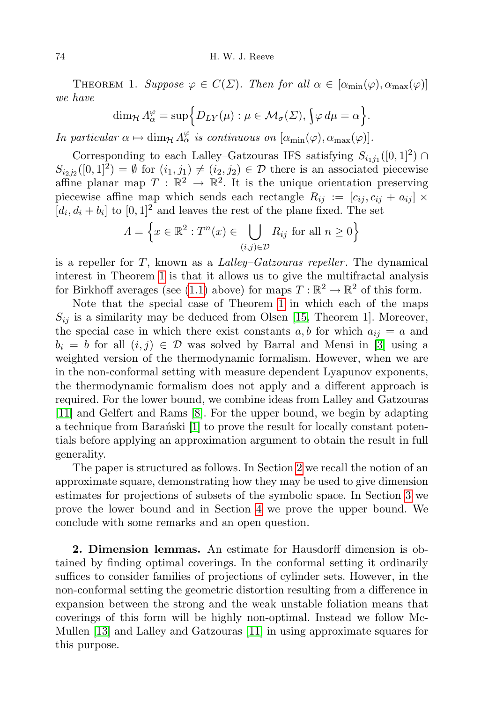THEOREM 1. Suppose  $\varphi \in C(\Sigma)$ . Then for all  $\alpha \in [\alpha_{\min}(\varphi), \alpha_{\max}(\varphi)]$ we have

$$
\dim_{\mathcal{H}} \Lambda_{\alpha}^{\varphi} = \sup \Big\{ D_{LY}(\mu) : \mu \in \mathcal{M}_{\sigma}(\Sigma), \int \varphi \, d\mu = \alpha \Big\}.
$$

In particular  $\alpha \mapsto \dim_{\mathcal{H}} \Lambda_{\alpha}^{\varphi}$  is continuous on  $[\alpha_{\min}(\varphi), \alpha_{\max}(\varphi)].$ 

Corresponding to each Lalley-Gatzouras IFS satisfying  $S_{i_1j_1}([0,1]^2) \cap$  $S_{i_2j_2}([0,1]^2) = \emptyset$  for  $(i_1, j_1) \neq (i_2, j_2) \in \mathcal{D}$  there is an associated piecewise affine planar map  $T : \mathbb{R}^2 \to \mathbb{R}^2$ . It is the unique orientation preserving piecewise affine map which sends each rectangle  $R_{ij} := [c_{ij}, c_{ij} + a_{ij}] \times$  $[d_i, d_i + b_i]$  to  $[0, 1]^2$  and leaves the rest of the plane fixed. The set

$$
\Lambda = \left\{ x \in \mathbb{R}^2 : T^n(x) \in \bigcup_{(i,j) \in \mathcal{D}} R_{ij} \text{ for all } n \ge 0 \right\}
$$

is a repeller for  $T$ , known as a *Lalley-Gatzouras repeller*. The dynamical interest in Theorem [1](#page-2-0) is that it allows us to give the multifractal analysis for Birkhoff averages (see [\(1.1\)](#page-0-0) above) for maps  $T : \mathbb{R}^2 \to \mathbb{R}^2$  of this form.

Note that the special case of Theorem [1](#page-2-0) in which each of the maps  $S_{ij}$  is a similarity may be deduced from Olsen [\[15,](#page-22-1) Theorem 1]. Moreover, the special case in which there exist constants  $a, b$  for which  $a_{ij} = a$  and  $b_i = b$  for all  $(i, j) \in \mathcal{D}$  was solved by Barral and Mensi in [\[3\]](#page-21-3) using a weighted version of the thermodynamic formalism. However, when we are in the non-conformal setting with measure dependent Lyapunov exponents, the thermodynamic formalism does not apply and a different approach is required. For the lower bound, we combine ideas from Lalley and Gatzouras [\[11\]](#page-22-3) and Gelfert and Rams [\[8\]](#page-21-6). For the upper bound, we begin by adapting a technique from Baranchi  $[1]$  to prove the result for locally constant potentials before applying an approximation argument to obtain the result in full generality.

The paper is structured as follows. In Section [2](#page-3-0) we recall the notion of an approximate square, demonstrating how they may be used to give dimension estimates for projections of subsets of the symbolic space. In Section [3](#page-6-0) we prove the lower bound and in Section [4](#page-14-0) we prove the upper bound. We conclude with some remarks and an open question.

<span id="page-3-0"></span>2. Dimension lemmas. An estimate for Hausdorff dimension is obtained by finding optimal coverings. In the conformal setting it ordinarily suffices to consider families of projections of cylinder sets. However, in the non-conformal setting the geometric distortion resulting from a difference in expansion between the strong and the weak unstable foliation means that coverings of this form will be highly non-optimal. Instead we follow Mc-Mullen [\[13\]](#page-22-2) and Lalley and Gatzouras [\[11\]](#page-22-3) in using approximate squares for this purpose.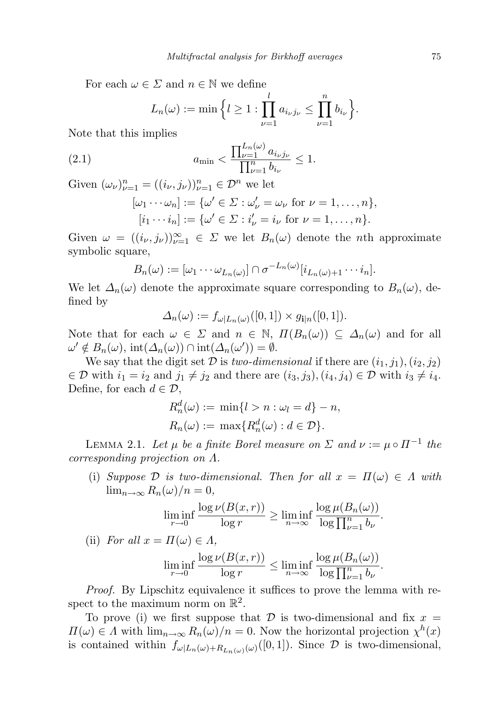For each  $\omega \in \Sigma$  and  $n \in \mathbb{N}$  we define

<span id="page-4-1"></span>
$$
L_n(\omega) := \min \Big\{ l \geq 1 : \prod_{\nu=1}^l a_{i_\nu j_\nu} \leq \prod_{\nu=1}^n b_{i_\nu} \Big\}.
$$

Note that this implies

(2.1) 
$$
a_{\min} < \frac{\prod_{\nu=1}^{L_n(\omega)} a_{i_{\nu}j_{\nu}}}{\prod_{\nu=1}^n b_{i_{\nu}}} \le 1.
$$

Given  $(\omega_{\nu})_{\nu=1}^n = ((i_{\nu}, j_{\nu}))_{\nu=1}^n \in \mathcal{D}^n$  we let

$$
[\omega_1 \cdots \omega_n] := {\{\omega' \in \Sigma : \omega'_{\nu} = \omega_{\nu} \text{ for } \nu = 1, ..., n\}},
$$
  

$$
[i_1 \cdots i_n] := {\{\omega' \in \Sigma : i'_{\nu} = i_{\nu} \text{ for } \nu = 1, ..., n\}}.
$$

Given  $\omega = ((i_{\nu}, j_{\nu}))_{\nu=1}^{\infty} \in \Sigma$  we let  $B_n(\omega)$  denote the *n*th approximate symbolic square,

$$
B_n(\omega) := [\omega_1 \cdots \omega_{L_n(\omega)}] \cap \sigma^{-L_n(\omega)}[i_{L_n(\omega)+1} \cdots i_n].
$$

We let  $\Delta_n(\omega)$  denote the approximate square corresponding to  $B_n(\omega)$ , defined by

 $\Delta_n(\omega) := f_{\omega|L_n(\omega)}([0,1]) \times g_{\mathbf{i}|n}([0,1]).$ 

Note that for each  $\omega \in \Sigma$  and  $n \in \mathbb{N}$ ,  $\Pi(B_n(\omega)) \subseteq \Delta_n(\omega)$  and for all  $\omega' \notin B_n(\omega)$ ,  $\text{int}(\Delta_n(\omega)) \cap \text{int}(\Delta_n(\omega')) = \emptyset$ .

We say that the digit set  $\mathcal D$  is two-dimensional if there are  $(i_1, j_1), (i_2, j_2)$  $\in \mathcal{D}$  with  $i_1 = i_2$  and  $j_1 \neq j_2$  and there are  $(i_3, j_3), (i_4, j_4) \in \mathcal{D}$  with  $i_3 \neq i_4$ . Define, for each  $d \in \mathcal{D}$ ,

$$
R_n^d(\omega) := \min\{l > n : \omega_l = d\} - n,
$$
  

$$
R_n(\omega) := \max\{R_n^d(\omega) : d \in \mathcal{D}\}.
$$

<span id="page-4-0"></span>LEMMA 2.1. Let  $\mu$  be a finite Borel measure on  $\Sigma$  and  $\nu := \mu \circ \Pi^{-1}$  the corresponding projection on Λ.

(i) Suppose D is two-dimensional. Then for all  $x = \Pi(\omega) \in \Lambda$  with  $\lim_{n\to\infty} R_n(\omega)/n = 0,$ 

$$
\liminf_{r \to 0} \frac{\log \nu(B(x,r))}{\log r} \ge \liminf_{n \to \infty} \frac{\log \mu(B_n(\omega))}{\log \prod_{\nu=1}^n b_{\nu}}.
$$

(ii) For all 
$$
x = \Pi(\omega) \in \Lambda
$$
,

$$
\liminf_{r \to 0} \frac{\log \nu(B(x, r))}{\log r} \le \liminf_{n \to \infty} \frac{\log \mu(B_n(\omega))}{\log \prod_{\nu=1}^n b_{\nu}}.
$$

Proof. By Lipschitz equivalence it suffices to prove the lemma with respect to the maximum norm on  $\mathbb{R}^2$ .

To prove (i) we first suppose that  $\mathcal D$  is two-dimensional and fix  $x =$  $\Pi(\omega) \in \Lambda$  with  $\lim_{n \to \infty} R_n(\omega)/n = 0$ . Now the horizontal projection  $\chi^h(x)$ is contained within  $f_{\omega|L_n(\omega)+R_{L_n(\omega)}(\omega)}([0,1])$ . Since  $\mathcal D$  is two-dimensional,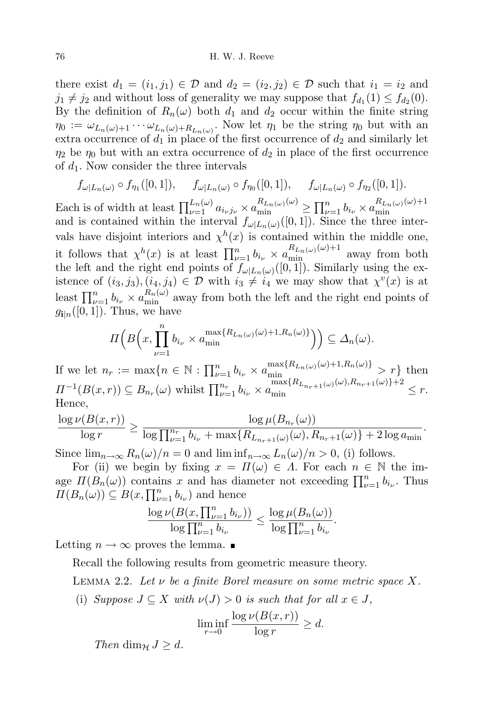there exist  $d_1 = (i_1, j_1) \in \mathcal{D}$  and  $d_2 = (i_2, j_2) \in \mathcal{D}$  such that  $i_1 = i_2$  and  $j_1 \neq j_2$  and without loss of generality we may suppose that  $f_{d_1}(1) \leq f_{d_2}(0)$ . By the definition of  $R_n(\omega)$  both  $d_1$  and  $d_2$  occur within the finite string  $\eta_0 := \omega_{L_n(\omega)+1} \cdots \omega_{L_n(\omega)+R_{L_n(\omega)}}$ . Now let  $\eta_1$  be the string  $\eta_0$  but with an extra occurrence of  $d_1$  in place of the first occurrence of  $d_2$  and similarly let  $\eta_2$  be  $\eta_0$  but with an extra occurrence of  $d_2$  in place of the first occurrence of  $d_1$ . Now consider the three intervals

$$
f_{\omega|L_n(\omega)} \circ f_{\eta_1}([0,1]), \quad f_{\omega|L_n(\omega)} \circ f_{\eta_0}([0,1]), \quad f_{\omega|L_n(\omega)} \circ f_{\eta_2}([0,1]).
$$

Each is of width at least  $\prod_{\nu=1}^{L_n(\omega)} a_{i\nu j\nu} \times a_{\min}^{R_{L_n(\omega)}(\omega)} \ge \prod_{\nu=1}^n b_{i\nu} \times a_{\min}^{R_{L_n(\omega)}(\omega)+1}$ Each is of which at least  $\prod_{\nu=1}^{L_{\nu}} a_{\nu,\nu} \wedge a_{\min} \leq \prod_{\nu=1}^{L_{\nu}} a_{\nu} \wedge a_{\min}$ <br>and is contained within the interval  $f_{\omega|L_n(\omega)}([0,1])$ . Since the three intervals have disjoint interiors and  $\chi^h(x)$  is contained within the middle one, it follows that  $\chi^h(x)$  is at least  $\prod_{\nu=1}^n b_{i_{\nu}} \times a_{\min}^{R_{L_n(\omega)}(\omega)+1}$  away from both the left and the right end points of  $f_{\omega|L_n(\omega)}([0,1])$ . Similarly using the existence of  $(i_3, j_3), (i_4, j_4) \in \mathcal{D}$  with  $i_3 \neq i_4$  we may show that  $\chi^v(x)$  is at least  $\prod_{\nu=1}^n b_{i_{\nu}} \times a_{\min}^{R_n(\omega)}$  away from both the left and the right end points of  $g_{\mathbf{i}|n}([0, 1])$ . Thus, we have

$$
\Pi\left(B\left(x,\prod_{\nu=1}^n b_{i_{\nu}}\times a_{\min}^{\max\{R_{L_n(\omega)}(\omega)+1,R_n(\omega)\}}\right)\right)\subseteq \Delta_n(\omega).
$$

If we let  $n_r := \max\{n \in \mathbb{N} : \prod_{\nu=1}^n b_{i_{\nu}} \times a_{\min}^{\max\{R_{L_n(\omega)}(\omega)+1, R_n(\omega)\}} > r\}$  then  $\Pi^{-1}(B(x,r)) \subseteq B_{n_r}(\omega)$  whilst  $\prod_{\nu=1}^{n_r} b_{i_{\nu}} \times a_{\min}^{\max\{R_{L_{n_r+1}(\omega)}(\omega), R_{n_r+1}(\omega)\}+2} \leq r$ . Hence,

$$
\frac{\log \nu(B(x,r))}{\log r} \ge \frac{\log \mu(B_{n_r}(\omega))}{\log \prod_{\nu=1}^{n_r} b_{i_{\nu}} + \max\{R_{L_{n_r+1}(\omega)}(\omega), R_{n_r+1}(\omega)\} + 2\log a_{\min}}.
$$

Since  $\lim_{n\to\infty} R_n(\omega)/n = 0$  and  $\liminf_{n\to\infty} L_n(\omega)/n > 0$ , (i) follows.

For (ii) we begin by fixing  $x = \Pi(\omega) \in \Lambda$ . For each  $n \in \mathbb{N}$  the image  $\Pi(B_n(\omega))$  contains x and has diameter not exceeding  $\prod_{\nu=1}^n b_{i\nu}$ . Thus  $\Pi(B_n(\omega)) \subseteq B(x, \prod_{\nu=1}^n b_{i_{\nu}})$  and hence

$$
\frac{\log \nu(B(x, \prod_{\nu=1}^n b_{i_{\nu}}))}{\log \prod_{\nu=1}^n b_{i_{\nu}}}\leq \frac{\log \mu(B_n(\omega))}{\log \prod_{\nu=1}^n b_{i_{\nu}}}.
$$

Letting  $n \to \infty$  proves the lemma.  $\blacksquare$ 

Recall the following results from geometric measure theory.

<span id="page-5-0"></span>LEMMA 2.2. Let  $\nu$  be a finite Borel measure on some metric space X.

(i) Suppose  $J \subseteq X$  with  $\nu(J) > 0$  is such that for all  $x \in J$ ,

$$
\liminf_{r \to 0} \frac{\log \nu(B(x, r))}{\log r} \ge d.
$$

Then dim<sub>H</sub>  $J \geq d$ .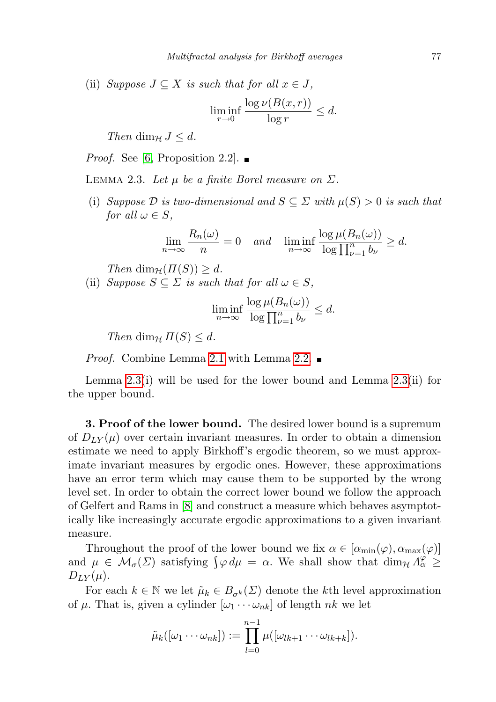(ii) Suppose  $J \subseteq X$  is such that for all  $x \in J$ ,

$$
\liminf_{r \to 0} \frac{\log \nu(B(x, r))}{\log r} \le d.
$$

Then dim<sub>H</sub>  $J \leq d$ .

*Proof.* See [\[6,](#page-21-8) Proposition 2.2].  $\blacksquare$ 

<span id="page-6-1"></span>LEMMA 2.3. Let  $\mu$  be a finite Borel measure on  $\Sigma$ .

(i) Suppose  $\mathcal D$  is two-dimensional and  $S \subseteq \Sigma$  with  $\mu(S) > 0$  is such that for all  $\omega \in S$ ,

$$
\lim_{n \to \infty} \frac{R_n(\omega)}{n} = 0 \quad \text{and} \quad \liminf_{n \to \infty} \frac{\log \mu(B_n(\omega))}{\log \prod_{\nu=1}^n b_{\nu}} \ge d.
$$

Then  $\dim_{\mathcal{H}}(\Pi(S)) \geq d$ .

(ii) Suppose  $S \subseteq \Sigma$  is such that for all  $\omega \in S$ ,

$$
\liminf_{n \to \infty} \frac{\log \mu(B_n(\omega))}{\log \prod_{\nu=1}^n b_{\nu}} \le d.
$$

Then dim<sub>H</sub>  $\Pi(S) \leq d$ .

*Proof.* Combine Lemma [2.1](#page-4-0) with Lemma [2.2.](#page-5-0) ■

Lemma  $2.3(i)$  will be used for the lower bound and Lemma  $2.3(i)$  for the upper bound.

<span id="page-6-0"></span>**3. Proof of the lower bound.** The desired lower bound is a supremum of  $D_{LY}(\mu)$  over certain invariant measures. In order to obtain a dimension estimate we need to apply Birkhoff's ergodic theorem, so we must approximate invariant measures by ergodic ones. However, these approximations have an error term which may cause them to be supported by the wrong level set. In order to obtain the correct lower bound we follow the approach of Gelfert and Rams in [\[8\]](#page-21-6) and construct a measure which behaves asymptotically like increasingly accurate ergodic approximations to a given invariant measure.

Throughout the proof of the lower bound we fix  $\alpha \in [\alpha_{\min}(\varphi), \alpha_{\max}(\varphi)]$ and  $\mu \in \mathcal{M}_{\sigma}(\Sigma)$  satisfying  $\oint \varphi d\mu = \alpha$ . We shall show that  $\dim_{\mathcal{H}} \Lambda_{\alpha}^{\varphi} \geq$  $D_{LY}(\mu)$ .

For each  $k \in \mathbb{N}$  we let  $\tilde{\mu}_k \in B_{\sigma^k}(\Sigma)$  denote the kth level approximation of  $\mu$ . That is, given a cylinder  $[\omega_1 \cdots \omega_{nk}]$  of length nk we let

$$
\tilde{\mu}_k([\omega_1 \cdots \omega_{nk}]):=\prod_{l=0}^{n-1} \mu([\omega_{lk+1} \cdots \omega_{lk+k}]).
$$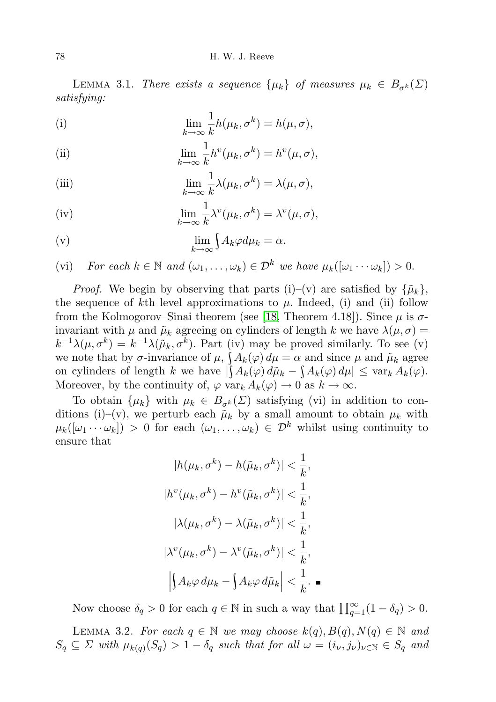<span id="page-7-0"></span>LEMMA 3.1. There exists a sequence  $\{\mu_k\}$  of measures  $\mu_k \in B_{\sigma^k}(\Sigma)$ satisfying:

(i) 
$$
\lim_{k \to \infty} \frac{1}{k} h(\mu_k, \sigma^k) = h(\mu, \sigma),
$$

(ii) 
$$
\lim_{k \to \infty} \frac{1}{k} h^v(\mu_k, \sigma^k) = h^v(\mu, \sigma),
$$

(iii) 
$$
\lim_{k \to \infty} \frac{1}{k} \lambda(\mu_k, \sigma^k) = \lambda(\mu, \sigma),
$$

(iv) 
$$
\lim_{k \to \infty} \frac{1}{k} \lambda^v(\mu_k, \sigma^k) = \lambda^v(\mu, \sigma),
$$

$$
\lim_{k \to \infty} \int A_k \varphi d\mu_k = \alpha.
$$

(vi) For each  $k \in \mathbb{N}$  and  $(\omega_1, \ldots, \omega_k) \in \mathcal{D}^k$  we have  $\mu_k([\omega_1 \cdots \omega_k]) > 0$ .

*Proof.* We begin by observing that parts (i)–(v) are satisfied by  $\{\tilde{\mu}_k\}$ , the sequence of kth level approximations to  $\mu$ . Indeed, (i) and (ii) follow from the Kolmogorov–Sinai theorem (see [\[18,](#page-22-5) Theorem 4.18]). Since  $\mu$  is  $\sigma$ invariant with  $\mu$  and  $\tilde{\mu}_k$  agreeing on cylinders of length k we have  $\lambda(\mu, \sigma) =$  $k^{-1}\lambda(\mu,\sigma^k) = k^{-1}\lambda(\tilde{\mu}_k,\sigma^k)$ . Part (iv) may be proved similarly. To see (v) we note that by  $\sigma$ -invariance of  $\mu$ ,  $\int A_k(\varphi) d\mu = \alpha$  and since  $\mu$  and  $\tilde{\mu}_k$  agree on cylinders of length k we have  $|\int A_k(\varphi) d\tilde{\mu}_k - \int A_k(\varphi) d\mu| \leq \text{var}_k A_k(\varphi)$ . Moreover, by the continuity of,  $\varphi$  var $_k A_k(\varphi) \to 0$  as  $k \to \infty$ .

To obtain  $\{\mu_k\}$  with  $\mu_k \in B_{\sigma^k}(\Sigma)$  satisfying (vi) in addition to conditions (i)–(v), we perturb each  $\tilde{\mu}_k$  by a small amount to obtain  $\mu_k$  with  $\mu_k([\omega_1 \cdots \omega_k]) > 0$  for each  $(\omega_1, \ldots, \omega_k) \in \mathcal{D}^k$  whilst using continuity to ensure that

$$
|h(\mu_k, \sigma^k) - h(\tilde{\mu}_k, \sigma^k)| < \frac{1}{k},
$$
  
\n
$$
|h^v(\mu_k, \sigma^k) - h^v(\tilde{\mu}_k, \sigma^k)| < \frac{1}{k},
$$
  
\n
$$
|\lambda(\mu_k, \sigma^k) - \lambda(\tilde{\mu}_k, \sigma^k)| < \frac{1}{k},
$$
  
\n
$$
|\lambda^v(\mu_k, \sigma^k) - \lambda^v(\tilde{\mu}_k, \sigma^k)| < \frac{1}{k},
$$
  
\n
$$
|\int A_k \varphi \, d\mu_k - \int A_k \varphi \, d\tilde{\mu}_k| < \frac{1}{k}.
$$

Now choose  $\delta_q > 0$  for each  $q \in \mathbb{N}$  in such a way that  $\prod_{q=1}^{\infty} (1 - \delta_q) > 0$ .

<span id="page-7-1"></span>LEMMA 3.2. For each  $q \in \mathbb{N}$  we may choose  $k(q), B(q), N(q) \in \mathbb{N}$  and  $S_q \subseteq \Sigma$  with  $\mu_{k(q)}(S_q) > 1 - \delta_q$  such that for all  $\omega = (i_{\nu}, j_{\nu})_{\nu \in \mathbb{N}} \in S_q$  and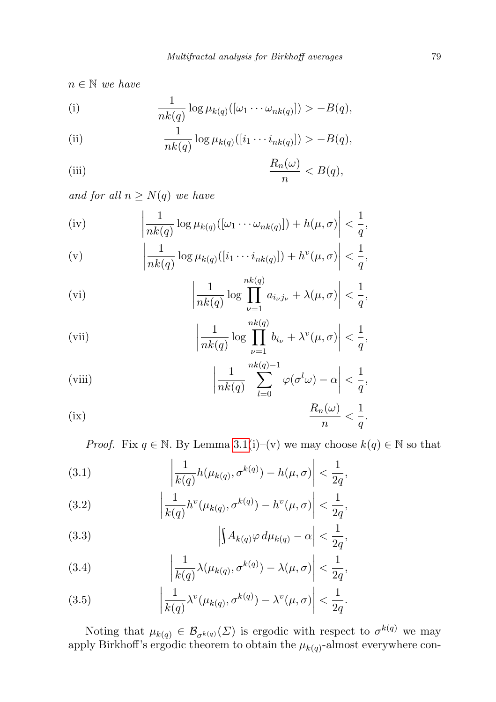$n \in \mathbb{N}$  we have

(i) 
$$
\frac{1}{nk(q)} \log \mu_{k(q)}([\omega_1 \cdots \omega_{nk(q)}]) > -B(q),
$$

(ii) 
$$
\frac{1}{nk(q)} \log \mu_{k(q)}([i_1 \cdots i_{nk(q)}]) > -B(q),
$$

(iii) 
$$
\frac{R_n(\omega)}{n} < B(q),
$$

and for all  $n \geq N(q)$  we have

(iv) 
$$
\left| \frac{1}{nk(q)} \log \mu_{k(q)}([\omega_1 \cdots \omega_{nk(q)}]) + h(\mu, \sigma) \right| < \frac{1}{q},
$$

(v) 
$$
\left|\frac{1}{nk(q)}\log \mu_{k(q)}([i_1\cdots i_{nk(q)}])+h^v(\mu,\sigma)\right|<\frac{1}{q},
$$

(vi) 
$$
\left| \frac{1}{nk(q)} \log \prod_{\nu=1}^{nk(q)} a_{i_{\nu}j_{\nu}} + \lambda(\mu, \sigma) \right| < \frac{1}{q},
$$

(vii) 
$$
\left|\frac{1}{nk(q)}\log\prod_{\nu=1}^{nk(q)}b_{i_{\nu}}+\lambda^{v}(\mu,\sigma)\right|<\frac{1}{q},
$$

(viii)  

$$
\left|\frac{1}{nk(q)}\sum_{l=0}^{nk(q)-1}\varphi(\sigma^l\omega)-\alpha\right|<\frac{1}{q},
$$

$$
R_n(\omega)\leq 1
$$

<span id="page-8-0"></span>(ix) 
$$
\frac{R_n(\omega)}{n} < \frac{1}{q}.
$$

*Proof.* Fix  $q \in \mathbb{N}$ . By Lemma [3.1\(](#page-7-0)i)–(v) we may choose  $k(q) \in \mathbb{N}$  so that

(3.1) 
$$
\left| \frac{1}{k(q)} h(\mu_{k(q)}, \sigma^{k(q)}) - h(\mu, \sigma) \right| < \frac{1}{2q},
$$

(3.2) 
$$
\left| \frac{1}{k(q)} h^{v}(\mu_{k(q)}, \sigma^{k(q)}) - h^{v}(\mu, \sigma) \right| < \frac{1}{2q},
$$

(3.3) 
$$
\left| \int A_{k(q)} \varphi \, d\mu_{k(q)} - \alpha \right| < \frac{1}{2q},
$$

(3.4) 
$$
\left|\frac{1}{k(q)}\lambda(\mu_{k(q)}, \sigma^{k(q)}) - \lambda(\mu, \sigma)\right| < \frac{1}{2q},
$$

(3.5) 
$$
\left|\frac{1}{k(q)}\lambda^{v}(\mu_{k(q)}, \sigma^{k(q)}) - \lambda^{v}(\mu, \sigma)\right| < \frac{1}{2q}.
$$

Noting that  $\mu_{k(q)} \in \mathcal{B}_{\sigma^{k(q)}}(\Sigma)$  is ergodic with respect to  $\sigma^{k(q)}$  we may apply Birkhoff's ergodic theorem to obtain the  $\mu_{k(q)}$ -almost everywhere con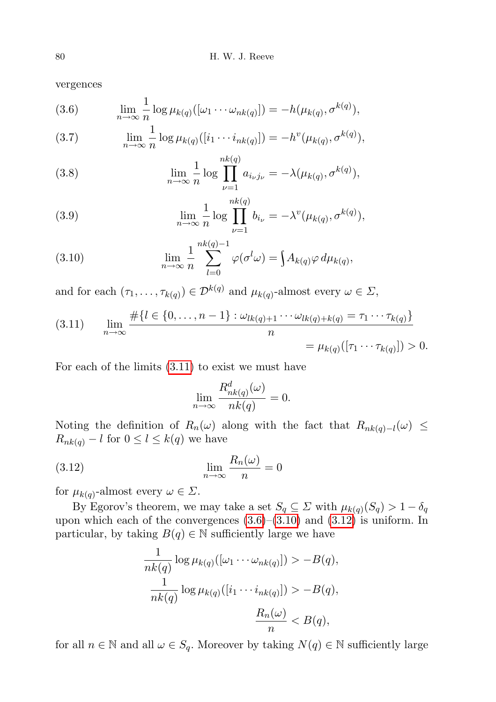vergences

(3.6) 
$$
\lim_{n \to \infty} \frac{1}{n} \log \mu_{k(q)}([\omega_1 \cdots \omega_{nk(q)}]) = -h(\mu_{k(q)}, \sigma^{k(q)}),
$$

(3.7) 
$$
\lim_{n \to \infty} \frac{1}{n} \log \mu_{k(q)}([i_1 \cdots i_{nk(q)}]) = -h^v(\mu_{k(q)}, \sigma^{k(q)}),
$$

(3.8) 
$$
\lim_{n \to \infty} \frac{1}{n} \log \prod_{\nu=1}^{nk(q)} a_{i_{\nu}j_{\nu}} = -\lambda(\mu_{k(q)}, \sigma^{k(q)}),
$$

(3.9) 
$$
\lim_{n \to \infty} \frac{1}{n} \log \prod_{\nu=1}^{nk(q)} b_{i_{\nu}} = -\lambda^{v} (\mu_{k(q)}, \sigma^{k(q)}),
$$

(3.10) 
$$
\lim_{n \to \infty} \frac{1}{n} \sum_{l=0}^{nk(q)-1} \varphi(\sigma^l \omega) = \int A_{k(q)} \varphi \, d\mu_{k(q)},
$$

and for each  $(\tau_1, \ldots, \tau_{k(q)}) \in \mathcal{D}^{k(q)}$  and  $\mu_{k(q)}$ -almost every  $\omega \in \Sigma$ ,

<span id="page-9-0"></span>(3.11) 
$$
\lim_{n \to \infty} \frac{\#\{l \in \{0, ..., n-1\} : \omega_{lk(q)+1} \cdots \omega_{lk(q)+k(q)} = \tau_1 \cdots \tau_{k(q)}\}}{n} = \mu_{k(q)}([\tau_1 \cdots \tau_{k(q)}]) > 0.
$$

For each of the limits [\(3.11\)](#page-9-0) to exist we must have

<span id="page-9-1"></span>
$$
\lim_{n \to \infty} \frac{R_{nk(q)}^d(\omega)}{nk(q)} = 0.
$$

Noting the definition of  $R_n(\omega)$  along with the fact that  $R_{nk(q)-l}(\omega) \leq$  $R_{nk(q)} - l$  for  $0 \leq l \leq k(q)$  we have

(3.12) 
$$
\lim_{n \to \infty} \frac{R_n(\omega)}{n} = 0
$$

for  $\mu_{k(q)}$ -almost every  $\omega \in \Sigma$ .

By Egorov's theorem, we may take a set  $S_q \subseteq \Sigma$  with  $\mu_{k(q)}(S_q) > 1 - \delta_q$ upon which each of the convergences  $(3.6)$ – $(3.10)$  and  $(3.12)$  is uniform. In particular, by taking  $B(q) \in \mathbb{N}$  sufficiently large we have

$$
\frac{1}{nk(q)} \log \mu_{k(q)}([\omega_1 \cdots \omega_{nk(q)}]) > -B(q),
$$
  

$$
\frac{1}{nk(q)} \log \mu_{k(q)}([i_1 \cdots i_{nk(q)}]) > -B(q),
$$
  

$$
\frac{R_n(\omega)}{n} < B(q),
$$

for all  $n \in \mathbb{N}$  and all  $\omega \in S_q$ . Moreover by taking  $N(q) \in \mathbb{N}$  sufficiently large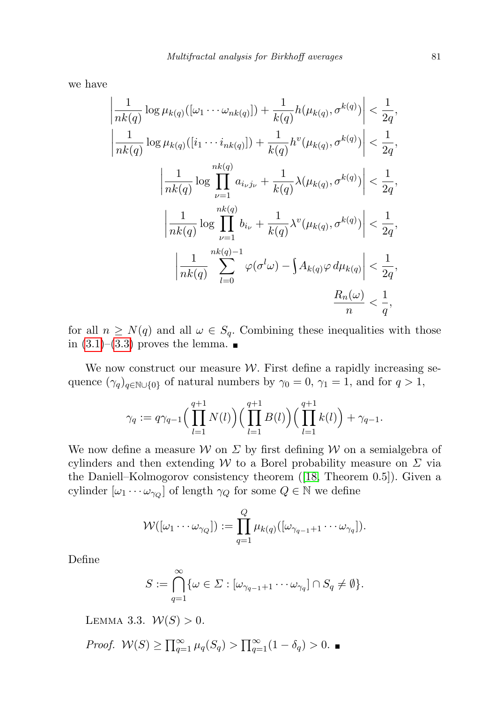we have

$$
\left| \frac{1}{nk(q)} \log \mu_{k(q)}([\omega_1 \cdots \omega_{nk(q)}]) + \frac{1}{k(q)} h(\mu_{k(q)}, \sigma^{k(q)}) \right| < \frac{1}{2q},
$$
  

$$
\left| \frac{1}{nk(q)} \log \mu_{k(q)}([i_1 \cdots i_{nk(q)}]) + \frac{1}{k(q)} h^v(\mu_{k(q)}, \sigma^{k(q)}) \right| < \frac{1}{2q},
$$
  

$$
\left| \frac{1}{nk(q)} \log \prod_{\nu=1}^{nk(q)} a_{i_{\nu}j_{\nu}} + \frac{1}{k(q)} \lambda(\mu_{k(q)}, \sigma^{k(q)}) \right| < \frac{1}{2q},
$$
  

$$
\left| \frac{1}{nk(q)} \log \prod_{\nu=1}^{nk(q)} b_{i_{\nu}} + \frac{1}{k(q)} \lambda^v(\mu_{k(q)}, \sigma^{k(q)}) \right| < \frac{1}{2q},
$$
  

$$
\left| \frac{1}{nk(q)} \sum_{l=0}^{nk(q)-1} \varphi(\sigma^l \omega) - \int A_{k(q)} \varphi d\mu_{k(q)} \right| < \frac{1}{2q},
$$
  

$$
\frac{R_n(\omega)}{n} < \frac{1}{q},
$$

for all  $n \geq N(q)$  and all  $\omega \in S_q$ . Combining these inequalities with those in  $(3.1)$ – $(3.3)$  proves the lemma.

We now construct our measure  $W$ . First define a rapidly increasing sequence  $(\gamma_q)_{q \in \mathbb{N} \cup \{0\}}$  of natural numbers by  $\gamma_0 = 0$ ,  $\gamma_1 = 1$ , and for  $q > 1$ ,

$$
\gamma_q := q \gamma_{q-1} \Big( \prod_{l=1}^{q+1} N(l) \Big) \Big( \prod_{l=1}^{q+1} B(l) \Big) \Big( \prod_{l=1}^{q+1} k(l) \Big) + \gamma_{q-1}.
$$

We now define a measure W on  $\Sigma$  by first defining W on a semialgebra of cylinders and then extending W to a Borel probability measure on  $\Sigma$  via the Daniell–Kolmogorov consistency theorem ([\[18,](#page-22-5) Theorem 0.5]). Given a cylinder  $[\omega_1 \cdots \omega_{\gamma_Q}]$  of length  $\gamma_Q$  for some  $Q \in \mathbb{N}$  we define

$$
\mathcal{W}([\omega_1 \cdots \omega_{\gamma_Q}]) := \prod_{q=1}^Q \mu_{k(q)}([\omega_{\gamma_{q-1}+1} \cdots \omega_{\gamma_q}]).
$$

Define

$$
S := \bigcap_{q=1}^{\infty} \{ \omega \in \Sigma : [\omega_{\gamma_{q-1}+1} \cdots \omega_{\gamma_q}] \cap S_q \neq \emptyset \}.
$$

<span id="page-10-0"></span>LEMMA 3.3.  $W(S) > 0$ .

*Proof.* 
$$
W(S) \ge \prod_{q=1}^{\infty} \mu_q(S_q) > \prod_{q=1}^{\infty} (1 - \delta_q) > 0.
$$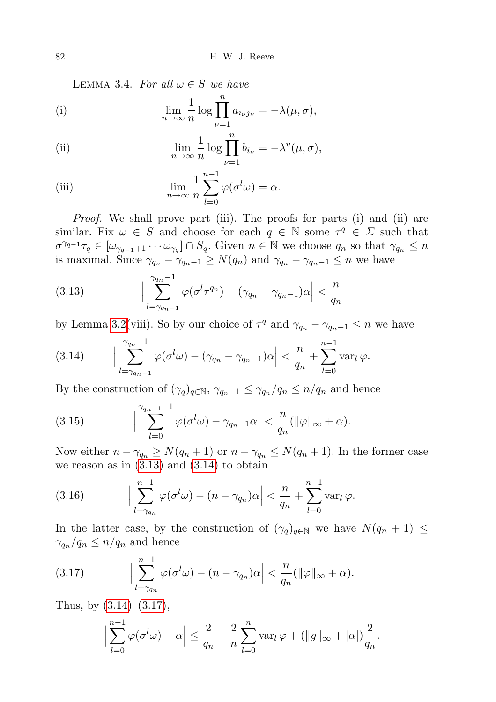LEMMA 3.4. For all  $\omega \in S$  we have

<span id="page-11-1"></span>(i) 
$$
\lim_{n \to \infty} \frac{1}{n} \log \prod_{\nu=1}^{n} a_{i_{\nu}j_{\nu}} = -\lambda(\mu, \sigma),
$$

(ii) 
$$
\lim_{n \to \infty} \frac{1}{n} \log \prod_{\nu=1}^{n} b_{i_{\nu}} = -\lambda^{v}(\mu, \sigma),
$$

<span id="page-11-0"></span>(iii) 
$$
\lim_{n \to \infty} \frac{1}{n} \sum_{l=0}^{n-1} \varphi(\sigma^l \omega) = \alpha.
$$

*Proof.* We shall prove part (iii). The proofs for parts (i) and (ii) are similar. Fix  $\omega \in S$  and choose for each  $q \in \mathbb{N}$  some  $\tau^q \in \Sigma$  such that  $\sigma^{\gamma_{q-1}}\tau_q \in [\omega_{\gamma_{q-1}+1}\cdots\omega_{\gamma_q}]\cap S_q$ . Given  $n \in \mathbb{N}$  we choose  $q_n$  so that  $\gamma_{q_n} \leq n$ is maximal. Since  $\gamma_{q_n} - \gamma_{q_n-1} \ge N(q_n)$  and  $\gamma_{q_n} - \gamma_{q_n-1} \le n$  we have

(3.13) 
$$
\left|\sum_{l=\gamma_{q_n-1}}^{\gamma_{q_n}-1} \varphi(\sigma^l \tau^{q_n}) - (\gamma_{q_n} - \gamma_{q_n-1})\alpha\right| < \frac{n}{q_n}
$$

by Lemma [3.2\(](#page-7-1)viii). So by our choice of  $\tau^q$  and  $\gamma_{q_n} - \gamma_{q_n-1} \leq n$  we have

(3.14) 
$$
\left|\sum_{l=\gamma_{q_n-1}}^{\gamma_{q_n}-1}\varphi(\sigma^l\omega)-(\gamma_{q_n}-\gamma_{q_n-1})\alpha\right|<\frac{n}{q_n}+\sum_{l=0}^{n-1}\operatorname{var}_l\varphi.
$$

By the construction of  $(\gamma_q)_{q \in \mathbb{N}}$ ,  $\gamma_{q_n-1} \leq \gamma_{q_n}/q_n \leq n/q_n$  and hence

(3.15) 
$$
\left|\sum_{l=0}^{\gamma_{q_n-1}-1}\varphi(\sigma^l\omega)-\gamma_{q_n-1}\alpha\right|<\frac{n}{q_n}(\|\varphi\|_{\infty}+\alpha).
$$

Now either  $n - \gamma_{q_n} \ge N(q_n + 1)$  or  $n - \gamma_{q_n} \le N(q_n + 1)$ . In the former case we reason as in  $(3.13)$  and  $(3.14)$  to obtain

(3.16) 
$$
\left|\sum_{l=\gamma_{q_n}}^{n-1} \varphi(\sigma^l \omega) - (n-\gamma_{q_n})\alpha\right| < \frac{n}{q_n} + \sum_{l=0}^{n-1} \text{var}_l \varphi.
$$

In the latter case, by the construction of  $(\gamma_q)_{q \in \mathbb{N}}$  we have  $N(q_n + 1) \leq$  $\gamma_{q_n}/q_n \leq n/q_n$  and hence

(3.17) 
$$
\Big|\sum_{l=\gamma_{q_n}}^{n-1}\varphi(\sigma^l\omega)-(n-\gamma_{q_n})\alpha\Big|<\frac{n}{q_n}(\|\varphi\|_{\infty}+\alpha).
$$

Thus, by  $(3.14)$ – $(3.17)$ ,

$$
\Big|\sum_{l=0}^{n-1}\varphi(\sigma^l\omega)-\alpha\Big|\leq \frac{2}{q_n}+\frac{2}{n}\sum_{l=0}^n\text{var}_l\,\varphi+(\|g\|_{\infty}+|\alpha|)\frac{2}{q_n}.
$$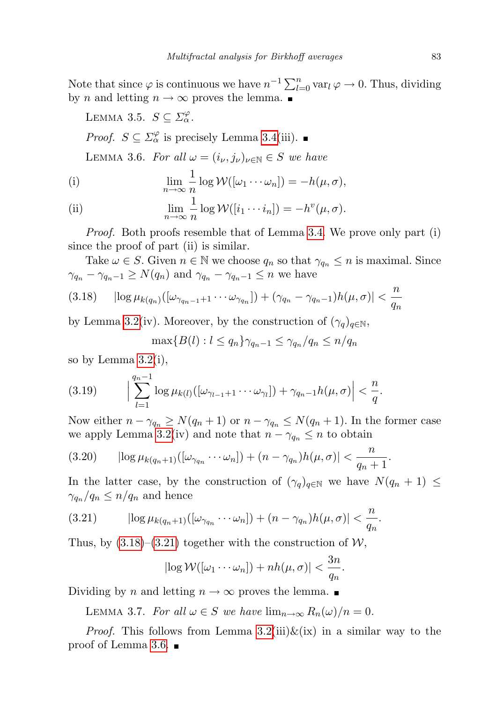Note that since  $\varphi$  is continuous we have  $n^{-1} \sum_{l=0}^{n} \text{var}_l \varphi \to 0$ . Thus, dividing by *n* and letting  $n \to \infty$  proves the lemma.

<span id="page-12-2"></span>LEMMA 3.5.  $S \subseteq \Sigma_{\alpha}^{\varphi}$ .

*Proof.*  $S \subseteq \Sigma^{\varphi}_{\alpha}$  is precisely Lemma [3.4\(](#page-11-1)iii).

<span id="page-12-1"></span>LEMMA 3.6. For all  $\omega = (i_{\nu}, j_{\nu})_{\nu \in \mathbb{N}} \in S$  we have

<span id="page-12-0"></span>(i) 
$$
\lim_{n \to \infty} \frac{1}{n} \log \mathcal{W}([\omega_1 \cdots \omega_n]) = -h(\mu, \sigma),
$$
  
(ii) 
$$
\lim_{n \to \infty} \frac{1}{n} \log \mathcal{W}([i_1 \cdots i_n]) = -h^v(\mu, \sigma).
$$

Proof. Both proofs resemble that of Lemma [3.4.](#page-11-1) We prove only part (i) since the proof of part (ii) is similar.

Take  $\omega \in S$ . Given  $n \in \mathbb{N}$  we choose  $q_n$  so that  $\gamma_{q_n} \leq n$  is maximal. Since  $\gamma_{q_n} - \gamma_{q_n-1} \ge N(q_n)$  and  $\gamma_{q_n} - \gamma_{q_n-1} \le n$  we have

$$
(3.18) \qquad \left|\log \mu_{k(q_n)}([\omega_{\gamma_{q_n-1}+1}\cdots\omega_{\gamma_{q_n}}]) + (\gamma_{q_n}-\gamma_{q_n-1})h(\mu,\sigma)\right| < \frac{n}{q_n}
$$

by Lemma [3.2\(](#page-7-1)iv). Moreover, by the construction of  $(\gamma_q)_{q \in \mathbb{N}}$ ,

$$
\max\{B(l): l \le q_n\}\gamma_{q_n-1} \le \gamma_{q_n}/q_n \le n/q_n
$$

so by Lemma [3.2\(](#page-7-1)i),

$$
(3.19) \qquad \Big|\sum_{l=1}^{q_n-1}\log\mu_{k(l)}([\omega_{\gamma_{l-1}+1}\cdots\omega_{\gamma_l}])+\gamma_{q_n-1}h(\mu,\sigma)\Big|<\frac{n}{q}.
$$

Now either  $n - \gamma_{q_n} \ge N(q_n + 1)$  or  $n - \gamma_{q_n} \le N(q_n + 1)$ . In the former case we apply Lemma [3.2\(](#page-7-1)iv) and note that  $n - \gamma_{q_n} \leq n$  to obtain

$$
(3.20) \qquad \left|\log \mu_{k(q_n+1)}([\omega_{\gamma_{q_n}}\cdots\omega_n]) + (n-\gamma_{q_n})h(\mu,\sigma)\right| < \frac{n}{q_n+1}.
$$

In the latter case, by the construction of  $(\gamma_q)_{q \in \mathbb{N}}$  we have  $N(q_n + 1) \leq$  $\gamma_{q_n}/q_n \leq n/q_n$  and hence

(3.21) 
$$
|\log \mu_{k(q_n+1)}([\omega_{\gamma_{q_n}}\cdots\omega_n]) + (n-\gamma_{q_n})h(\mu,\sigma)| < \frac{n}{q_n}.
$$

Thus, by  $(3.18)$ – $(3.21)$  together with the construction of  $W$ ,

$$
|\log \mathcal{W}([\omega_1 \cdots \omega_n]) + nh(\mu, \sigma)| < \frac{3n}{q_n}.
$$

<span id="page-12-3"></span>Dividing by n and letting  $n \to \infty$  proves the lemma.

LEMMA 3.7. For all  $\omega \in S$  we have  $\lim_{n\to\infty} R_n(\omega)/n = 0$ .

*Proof.* This follows from Lemma  $3.2(iii) \& (ix)$  in a similar way to the proof of Lemma [3.6.](#page-12-1)  $\blacksquare$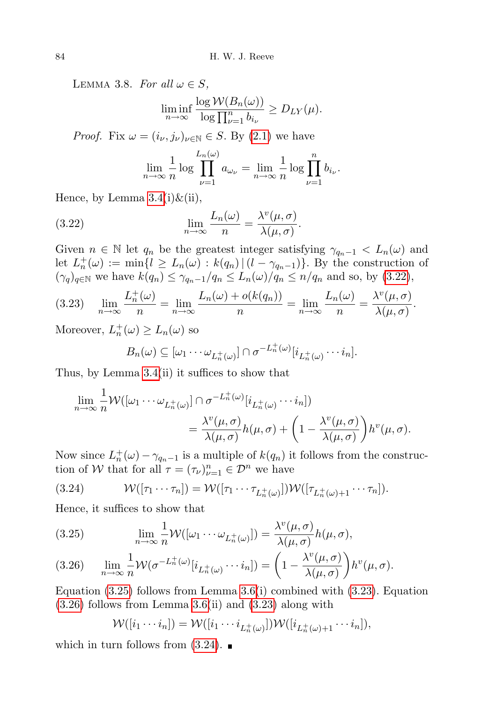<span id="page-13-3"></span>LEMMA 3.8. For all  $\omega \in S$ ,

$$
\liminf_{n\to\infty}\frac{\log W(B_n(\omega))}{\log\prod_{\nu=1}^n b_{i_{\nu}}} \ge D_{LY}(\mu).
$$

*Proof.* Fix  $\omega = (i_{\nu}, j_{\nu})_{\nu \in \mathbb{N}} \in S$ . By [\(2.1\)](#page-4-1) we have

<span id="page-13-0"></span>
$$
\lim_{n \to \infty} \frac{1}{n} \log \prod_{\nu=1}^{L_n(\omega)} a_{\omega_{\nu}} = \lim_{n \to \infty} \frac{1}{n} \log \prod_{\nu=1}^n b_{i_{\nu}}.
$$

Hence, by Lemma  $3.4(i)\&$ (ii),

(3.22) 
$$
\lim_{n \to \infty} \frac{L_n(\omega)}{n} = \frac{\lambda^v(\mu, \sigma)}{\lambda(\mu, \sigma)}.
$$

Given  $n \in \mathbb{N}$  let  $q_n$  be the greatest integer satisfying  $\gamma_{q_n-1} < L_n(\omega)$  and let  $L_n^+(\omega) := \min\{l \ge L_n(\omega) : k(q_n) \mid (l - \gamma_{q_n-1})\}$ . By the construction of  $(\gamma_q)_{q \in \mathbb{N}}$  we have  $k(q_n) \leq \gamma_{q_n-1}/q_n \leq L_n(\omega)/q_n \leq n/q_n$  and so, by  $(3.22)$ ,

<span id="page-13-2"></span>
$$
(3.23) \quad \lim_{n \to \infty} \frac{L_n^+(\omega)}{n} = \lim_{n \to \infty} \frac{L_n(\omega) + o(k(q_n))}{n} = \lim_{n \to \infty} \frac{L_n(\omega)}{n} = \frac{\lambda^v(\mu, \sigma)}{\lambda(\mu, \sigma)}.
$$

Moreover,  $L_n^+(\omega) \ge L_n(\omega)$  so

$$
B_n(\omega) \subseteq [\omega_1 \cdots \omega_{L_n^+(\omega)}] \cap \sigma^{-L_n^+(\omega)}[i_{L_n^+(\omega)} \cdots i_n].
$$

Thus, by Lemma [3.4\(](#page-11-1)ii) it suffices to show that

$$
\lim_{n \to \infty} \frac{1}{n} \mathcal{W}([\omega_1 \cdots \omega_{L_n^+(\omega)}] \cap \sigma^{-L_n^+(\omega)}[i_{L_n^+(\omega)} \cdots i_n])
$$
  
= 
$$
\frac{\lambda^v(\mu, \sigma)}{\lambda(\mu, \sigma)} h(\mu, \sigma) + \left(1 - \frac{\lambda^v(\mu, \sigma)}{\lambda(\mu, \sigma)}\right) h^v(\mu, \sigma).
$$

Now since  $L_n^+(\omega) - \gamma_{q_n-1}$  is a multiple of  $k(q_n)$  it follows from the construction of W that for all  $\tau = (\tau_{\nu})_{\nu=1}^n \in \mathcal{D}^n$  we have

<span id="page-13-1"></span>(3.24) 
$$
\mathcal{W}([\tau_1 \cdots \tau_n]) = \mathcal{W}([\tau_1 \cdots \tau_{L_n^+(\omega)}]) \mathcal{W}([\tau_{L_n^+(\omega)+1} \cdots \tau_n]).
$$

Hence, it suffices to show that

(3.25) 
$$
\lim_{n \to \infty} \frac{1}{n} \mathcal{W}([\omega_1 \cdots \omega_{L_n^+(\omega)}]) = \frac{\lambda^v(\mu, \sigma)}{\lambda(\mu, \sigma)} h(\mu, \sigma),
$$

(3.26) 
$$
\lim_{n \to \infty} \frac{1}{n} \mathcal{W}(\sigma^{-L_n^+(\omega)}[i_{L_n^+(\omega)} \cdots i_n]) = \left(1 - \frac{\lambda^v(\mu, \sigma)}{\lambda(\mu, \sigma)}\right) h^v(\mu, \sigma).
$$

Equation  $(3.25)$  follows from Lemma  $3.6(i)$  combined with  $(3.23)$ . Equation  $(3.26)$  follows from Lemma [3.6\(](#page-12-1)ii) and  $(3.23)$  along with

$$
\mathcal{W}([i_1\cdots i_n]) = \mathcal{W}([i_1\cdots i_{L_n^+(\omega)}])\mathcal{W}([i_{L_n^+(\omega)+1}\cdots i_n]),
$$

which in turn follows from  $(3.24)$ .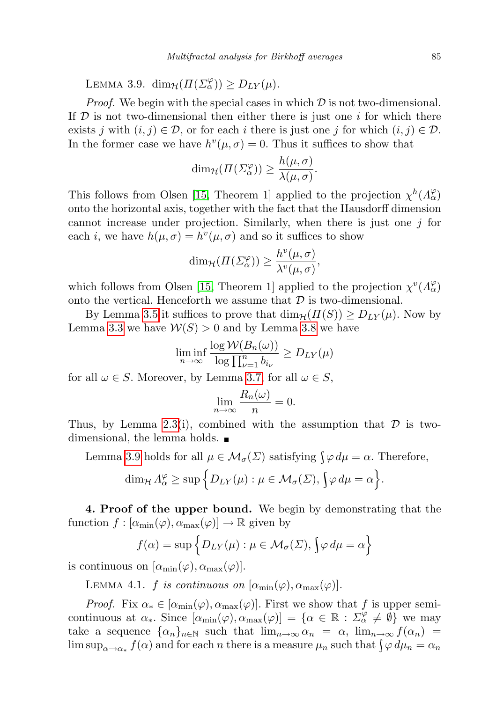<span id="page-14-1"></span>LEMMA 3.9.  $\dim_{\mathcal{H}}(\Pi(\Sigma_{\alpha}^{\varphi})) \geq D_{LY}(\mu).$ 

*Proof.* We begin with the special cases in which  $D$  is not two-dimensional. If  $D$  is not two-dimensional then either there is just one i for which there exists j with  $(i, j) \in \mathcal{D}$ , or for each i there is just one j for which  $(i, j) \in \mathcal{D}$ . In the former case we have  $h^v(\mu, \sigma) = 0$ . Thus it suffices to show that

$$
\dim_{\mathcal{H}}(\Pi(\Sigma_{\alpha}^{\varphi})) \ge \frac{h(\mu,\sigma)}{\lambda(\mu,\sigma)}.
$$

This follows from Olsen [\[15,](#page-22-1) Theorem 1] applied to the projection  $\chi^h(\Lambda_\alpha^\varphi)$ onto the horizontal axis, together with the fact that the Hausdorff dimension cannot increase under projection. Similarly, when there is just one  $i$  for each *i*, we have  $h(\mu, \sigma) = h^v(\mu, \sigma)$  and so it suffices to show

$$
\dim_{\mathcal{H}}(\Pi(\varSigma^{\varphi}_{\alpha})) \ge \frac{h^v(\mu,\sigma)}{\lambda^v(\mu,\sigma)},
$$

which follows from Olsen [\[15,](#page-22-1) Theorem 1] applied to the projection  $\chi^v(\Lambda_\alpha^\varphi)$ onto the vertical. Henceforth we assume that  $\mathcal D$  is two-dimensional.

By Lemma [3.5](#page-12-2) it suffices to prove that  $\dim_{\mathcal{H}}(H(S)) \geq D_{LY}(\mu)$ . Now by Lemma [3.3](#page-10-0) we have  $W(S) > 0$  and by Lemma [3.8](#page-13-3) we have

$$
\liminf_{n \to \infty} \frac{\log \mathcal{W}(B_n(\omega))}{\log \prod_{\nu=1}^n b_{i_{\nu}}} \ge D_{LY}(\mu)
$$

for all  $\omega \in S$ . Moreover, by Lemma [3.7,](#page-12-3) for all  $\omega \in S$ ,

$$
\lim_{n \to \infty} \frac{R_n(\omega)}{n} = 0.
$$

Thus, by Lemma [2.3\(](#page-6-1)i), combined with the assumption that  $\mathcal D$  is twodimensional, the lemma holds.

Lemma [3.9](#page-14-1) holds for all  $\mu \in \mathcal{M}_{\sigma}(\Sigma)$  satisfying  $\int \varphi d\mu = \alpha$ . Therefore,

$$
\dim_{\mathcal{H}} \Lambda_{\alpha}^{\varphi} \geq \sup \Big\{ D_{LY}(\mu) : \mu \in \mathcal{M}_{\sigma}(\Sigma), \big\{\varphi \, d\mu = \alpha \Big\}.
$$

<span id="page-14-0"></span>4. Proof of the upper bound. We begin by demonstrating that the function  $f : [\alpha_{\min}(\varphi), \alpha_{\max}(\varphi)] \to \mathbb{R}$  given by

$$
f(\alpha) = \sup \{ D_{LY}(\mu) : \mu \in \mathcal{M}_{\sigma}(\Sigma), \{ \varphi \, d\mu = \alpha \}
$$

<span id="page-14-2"></span>is continuous on  $[\alpha_{\min}(\varphi), \alpha_{\max}(\varphi)].$ 

LEMMA 4.1. f is continuous on  $[\alpha_{\min}(\varphi), \alpha_{\max}(\varphi)].$ 

*Proof.* Fix  $\alpha_* \in [\alpha_{\min}(\varphi), \alpha_{\max}(\varphi)]$ . First we show that f is upper semicontinuous at  $\alpha_*$ . Since  $[\alpha_{\min}(\varphi), \alpha_{\max}(\varphi)] = {\alpha \in \mathbb{R} : \Sigma_{\alpha}^{\varphi} \neq \emptyset}$  we may take a sequence  $\{\alpha_n\}_{n\in\mathbb{N}}$  such that  $\lim_{n\to\infty} \alpha_n = \alpha$ ,  $\lim_{n\to\infty} f(\alpha_n) =$  $\limsup_{\alpha\to\alpha_*} f(\alpha)$  and for each n there is a measure  $\mu_n$  such that  $\int \varphi \, d\mu_n = \alpha_n$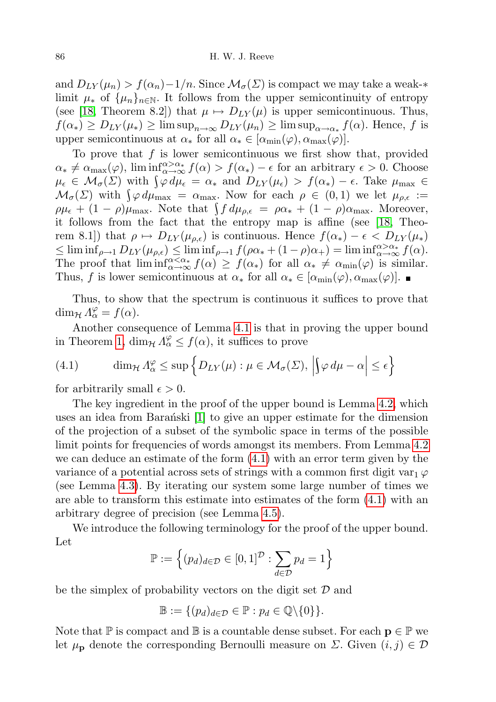and  $D_{LY}(\mu_n) > f(\alpha_n) - 1/n$ . Since  $\mathcal{M}_{\sigma}(\Sigma)$  is compact we may take a weak-\* limit  $\mu_*$  of  $\{\mu_n\}_{n\in\mathbb{N}}$ . It follows from the upper semicontinuity of entropy (see [\[18,](#page-22-5) Theorem 8.2]) that  $\mu \mapsto D_{LY}(\mu)$  is upper semicontinuous. Thus,  $f(\alpha_*) \ge D_{LY}(\mu_*) \ge \limsup_{n \to \infty} D_{LY}(\mu_n) \ge \limsup_{\alpha \to \alpha_*} f(\alpha)$ . Hence, f is upper semicontinuous at  $\alpha_*$  for all  $\alpha_* \in [\alpha_{\min}(\varphi), \alpha_{\max}(\varphi)].$ 

To prove that  $f$  is lower semicontinuous we first show that, provided  $\alpha_* \neq \alpha_{\max}(\varphi)$ ,  $\liminf_{\alpha \to \infty} \alpha_* f(\alpha) > f(\alpha_*) - \epsilon$  for an arbitrary  $\epsilon > 0$ . Choose  $\mu_{\epsilon} \in M_{\sigma}(\Sigma)$  with  $\int \varphi \, d\mu_{\epsilon} = \alpha_*$  and  $D_{LY}(\mu_{\epsilon}) > f(\alpha_*) - \epsilon$ . Take  $\mu_{\max} \in$  $\mathcal{M}_{\sigma}(\Sigma)$  with  $\int \varphi \, d\mu_{\max} = \alpha_{\max}$ . Now for each  $\rho \in (0,1)$  we let  $\mu_{\rho,\epsilon} :=$  $\rho\mu_{\epsilon} + (1 - \rho)\mu_{\max}$ . Note that  $\int f d\mu_{\rho,\epsilon} = \rho\alpha_* + (1 - \rho)\alpha_{\max}$ . Moreover, it follows from the fact that the entropy map is affine (see [\[18,](#page-22-5) Theorem 8.1) that  $\rho \mapsto D_{LY}(\mu_{\rho,\epsilon})$  is continuous. Hence  $f(\alpha_*) - \epsilon < D_{LY}(\mu_*)$  $\leq \liminf_{\rho \to 1} D_{LY}(\mu_{\rho,\epsilon}) \leq \liminf_{\rho \to 1} f(\rho \alpha_* + (1 - \rho) \alpha_+) = \liminf_{\alpha \to \infty} \alpha_*^{\alpha} f(\alpha).$ The proof that  $\liminf_{\alpha \to \infty}^{\alpha < \alpha^*} f(\alpha) \geq f(\alpha_*)$  for all  $\alpha_* \neq \alpha_{\min}(\varphi)$  is similar. Thus, f is lower semicontinuous at  $\alpha_*$  for all  $\alpha_* \in [\alpha_{\min}(\varphi), \alpha_{\max}(\varphi)]$ .

Thus, to show that the spectrum is continuous it suffices to prove that dim<sub> $\mathcal{H} \Lambda_{\alpha}^{\varphi} = f(\alpha)$ .</sub>

Another consequence of Lemma [4.1](#page-14-2) is that in proving the upper bound in Theorem [1,](#page-2-0)  $\dim_{\mathcal{H}} \Lambda_{\alpha}^{\varphi} \leq f(\alpha)$ , it suffices to prove

<span id="page-15-0"></span>(4.1) 
$$
\dim_{\mathcal{H}} \Lambda_{\alpha}^{\varphi} \leq \sup \left\{ D_{LY}(\mu) : \mu \in \mathcal{M}_{\sigma}(\Sigma), \left| \int \varphi \, d\mu - \alpha \right| \leq \epsilon \right\}
$$

for arbitrarily small  $\epsilon > 0$ .

The key ingredient in the proof of the upper bound is Lemma [4.2,](#page-16-0) which uses an idea from Baran´ski  $[1]$  to give an upper estimate for the dimension of the projection of a subset of the symbolic space in terms of the possible limit points for frequencies of words amongst its members. From Lemma [4.2](#page-16-0) we can deduce an estimate of the form [\(4.1\)](#page-15-0) with an error term given by the variance of a potential across sets of strings with a common first digit var<sub>1</sub>  $\varphi$ (see Lemma [4.3\)](#page-19-0). By iterating our system some large number of times we are able to transform this estimate into estimates of the form [\(4.1\)](#page-15-0) with an arbitrary degree of precision (see Lemma [4.5\)](#page-20-0).

We introduce the following terminology for the proof of the upper bound. Let

$$
\mathbb{P} := \left\{ (p_d)_{d \in \mathcal{D}} \in [0,1]^{\mathcal{D}} : \sum_{d \in \mathcal{D}} p_d = 1 \right\}
$$

be the simplex of probability vectors on the digit set  $\mathcal D$  and

$$
\mathbb{B} := \{ (p_d)_{d \in \mathcal{D}} \in \mathbb{P} : p_d \in \mathbb{Q} \backslash \{0\} \}.
$$

Note that  $\mathbb P$  is compact and  $\mathbb B$  is a countable dense subset. For each  $p \in \mathbb P$  we let  $\mu_{\mathbf{p}}$  denote the corresponding Bernoulli measure on  $\Sigma$ . Given  $(i, j) \in \mathcal{D}$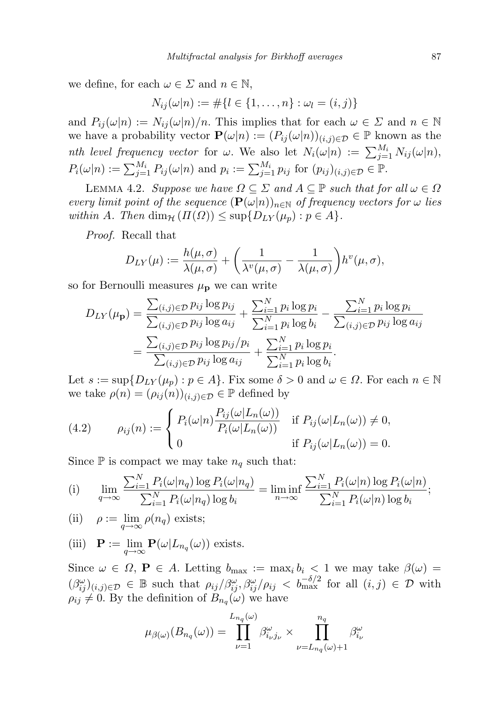we define, for each  $\omega \in \Sigma$  and  $n \in \mathbb{N}$ ,

$$
N_{ij}(\omega|n) := \#\{l \in \{1, \ldots, n\} : \omega_l = (i, j)\}\
$$

and  $P_{ij}(\omega|n) := N_{ij}(\omega|n)/n$ . This implies that for each  $\omega \in \Sigma$  and  $n \in \mathbb{N}$ we have a probability vector  $\mathbf{P}(\omega|n) := (P_{ij}(\omega|n))_{(i,j)\in\mathcal{D}} \in \mathbb{P}$  known as the nth level frequency vector for  $\omega$ . We also let  $N_i(\omega|n) := \sum_{j=1}^{M_i} N_{ij}(\omega|n)$ ,  $P_i(\omega|n) := \sum_{j=1}^{M_i} P_{ij}(\omega|n)$  and  $p_i := \sum_{j=1}^{M_i} p_{ij}$  for  $(p_{ij})_{(i,j)\in\mathcal{D}} \in \mathbb{P}$ .

<span id="page-16-0"></span>LEMMA 4.2. Suppose we have  $\Omega \subseteq \Sigma$  and  $A \subseteq \mathbb{P}$  such that for all  $\omega \in \Omega$ every limit point of the sequence  $(\mathbf{P}(\omega|n))_{n\in\mathbb{N}}$  of frequency vectors for  $\omega$  lies within A. Then  $\dim_{\mathcal{H}} (\Pi(\Omega)) \leq \sup \{ D_{LY}(\mu_p) : p \in A \}.$ 

Proof. Recall that

$$
D_{LY}(\mu) := \frac{h(\mu,\sigma)}{\lambda(\mu,\sigma)} + \left(\frac{1}{\lambda^v(\mu,\sigma)} - \frac{1}{\lambda(\mu,\sigma)}\right)h^v(\mu,\sigma),
$$

so for Bernoulli measures  $\mu_{\mathbf{p}}$  we can write

$$
D_{LY}(\mu_{\mathbf{p}}) = \frac{\sum_{(i,j)\in\mathcal{D}} p_{ij} \log p_{ij}}{\sum_{(i,j)\in\mathcal{D}} p_{ij} \log a_{ij}} + \frac{\sum_{i=1}^N p_i \log p_i}{\sum_{i=1}^N p_i \log b_i} - \frac{\sum_{i=1}^N p_i \log p_i}{\sum_{(i,j)\in\mathcal{D}} p_{ij} \log a_{ij}} = \frac{\sum_{(i,j)\in\mathcal{D}} p_{ij} \log p_{ij} / p_i}{\sum_{(i,j)\in\mathcal{D}} p_{ij} \log a_{ij}} + \frac{\sum_{i=1}^N p_i \log p_i}{\sum_{i=1}^N p_i \log b_i}.
$$

Let  $s := \sup\{D_{LY}(\mu_p) : p \in A\}$ . Fix some  $\delta > 0$  and  $\omega \in \Omega$ . For each  $n \in \mathbb{N}$ we take  $\rho(n) = (\rho_{ij}(n))_{(i,j)\in\mathcal{D}} \in \mathbb{P}$  defined by

(4.2) 
$$
\rho_{ij}(n) := \begin{cases} P_i(\omega|n) \frac{P_{ij}(\omega|L_n(\omega))}{P_i(\omega|L_n(\omega))} & \text{if } P_{ij}(\omega|L_n(\omega)) \neq 0, \\ 0 & \text{if } P_{ij}(\omega|L_n(\omega)) = 0. \end{cases}
$$

Since  $\mathbb P$  is compact we may take  $n_q$  such that:

(i) 
$$
\lim_{q \to \infty} \frac{\sum_{i=1}^{N} P_i(\omega | n_q) \log P_i(\omega | n_q)}{\sum_{i=1}^{N} P_i(\omega | n_q) \log b_i} = \liminf_{n \to \infty} \frac{\sum_{i=1}^{N} P_i(\omega | n) \log P_i(\omega | n)}{\sum_{i=1}^{N} P_i(\omega | n) \log b_i};
$$

(ii) 
$$
\rho := \lim_{q \to \infty} \rho(n_q)
$$
 exists;

(iii)  $\mathbf{P} := \lim_{q \to \infty} \mathbf{P}(\omega | L_{n_q}(\omega))$  exists.

Since  $\omega \in \Omega$ ,  $P \in A$ . Letting  $b_{\max} := \max_i b_i < 1$  we may take  $\beta(\omega) =$  $(\beta_{ij}^{\omega})_{(i,j)\in\mathcal{D}} \in \mathbb{B}$  such that  $\rho_{ij}/\beta_{ij}^{\omega}, \beta_{ij}^{\omega}/\rho_{ij} < b_{\max}^{-\delta/2}$  for all  $(i,j)\in\mathcal{D}$  with  $\rho_{ij} \neq 0$ . By the definition of  $B_{n_q}(\omega)$  we have

$$
\mu_{\beta(\omega)}(B_{n_q}(\omega)) = \prod_{\nu=1}^{L_{n_q}(\omega)} \beta_{i_\nu j_\nu}^{\omega} \times \prod_{\nu=L_{n_q}(\omega)+1}^{n_q} \beta_{i_\nu}^{\omega}
$$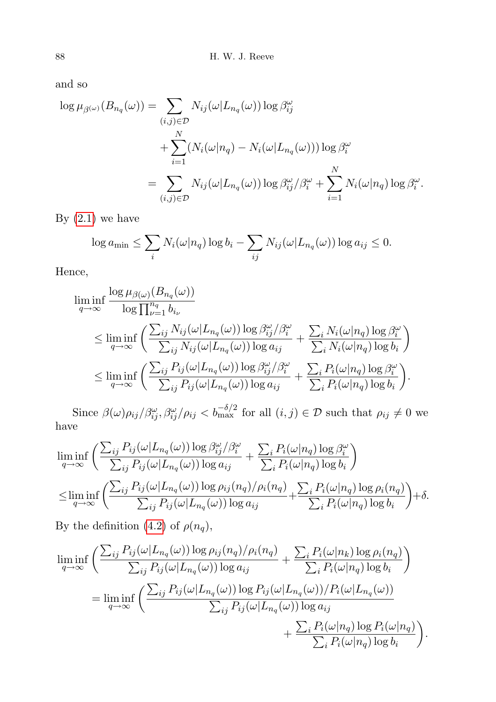and so

$$
\log \mu_{\beta}(\omega) (B_{n_q}(\omega)) = \sum_{(i,j) \in \mathcal{D}} N_{ij}(\omega | L_{n_q}(\omega)) \log \beta_{ij}^{\omega}
$$
  
+ 
$$
\sum_{i=1}^N (N_i(\omega | n_q) - N_i(\omega | L_{n_q}(\omega))) \log \beta_i^{\omega}
$$
  
= 
$$
\sum_{(i,j) \in \mathcal{D}} N_{ij}(\omega | L_{n_q}(\omega)) \log \beta_{ij}^{\omega} / \beta_i^{\omega} + \sum_{i=1}^N N_i(\omega | n_q) \log \beta_i^{\omega}.
$$

By  $(2.1)$  we have

$$
\log a_{\min} \leq \sum_i N_i(\omega | n_q) \log b_i - \sum_{ij} N_{ij}(\omega | L_{n_q}(\omega)) \log a_{ij} \leq 0.
$$

Hence,

$$
\liminf_{q \to \infty} \frac{\log \mu_{\beta(\omega)}(B_{n_q}(\omega))}{\log \prod_{\nu=1}^{n_q} b_{i_{\nu}}} \le \liminf_{q \to \infty} \left( \frac{\sum_{ij} N_{ij}(\omega | L_{n_q}(\omega)) \log \beta_{ij}^{\omega} / \beta_{i}^{\omega}}{\sum_{ij} N_{ij}(\omega | L_{n_q}(\omega)) \log a_{ij}} + \frac{\sum_{i} N_i(\omega | n_q) \log \beta_{i}^{\omega}}{\sum_{i} N_i(\omega | n_q) \log b_i} \right) \le \liminf_{q \to \infty} \left( \frac{\sum_{ij} P_{ij}(\omega | L_{n_q}(\omega)) \log \beta_{ij}^{\omega} / \beta_{i}^{\omega}}{\sum_{ij} P_{ij}(\omega | L_{n_q}(\omega)) \log a_{ij}} + \frac{\sum_{i} P_i(\omega | n_q) \log \beta_{i}^{\omega}}{\sum_{i} P_i(\omega | n_q) \log b_i} \right).
$$

Since  $\beta(\omega)\rho_{ij}/\beta_{ij}^{\omega}, \beta_{ij}^{\omega}/\rho_{ij} < b_{\text{max}}^{-\delta/2}$  for all  $(i, j) \in \mathcal{D}$  such that  $\rho_{ij} \neq 0$  we have

$$
\liminf_{q \to \infty} \left( \frac{\sum_{ij} P_{ij}(\omega | L_{n_q}(\omega)) \log \beta_{ij}^{\omega} / \beta_i^{\omega}}{\sum_{ij} P_{ij}(\omega | L_{n_q}(\omega)) \log a_{ij}} + \frac{\sum_i P_i(\omega | n_q) \log \beta_i^{\omega}}{\sum_i P_i(\omega | n_q) \log b_i} \right) \n\leq \liminf_{q \to \infty} \left( \frac{\sum_{ij} P_{ij}(\omega | L_{n_q}(\omega)) \log \rho_{ij}(n_q) / \rho_i(n_q)}{\sum_{ij} P_{ij}(\omega | L_{n_q}(\omega)) \log a_{ij}} + \frac{\sum_i P_i(\omega | n_q) \log \rho_i(n_q)}{\sum_i P_i(\omega | n_q) \log b_i} \right) + \delta.
$$

By the definition [\(4.2\)](#page-16-0) of  $\rho(n_q)$ ,

$$
\liminf_{q \to \infty} \left( \frac{\sum_{ij} P_{ij}(\omega | L_{n_q}(\omega)) \log \rho_{ij}(n_q) / \rho_i(n_q)}{\sum_{ij} P_{ij}(\omega | L_{n_q}(\omega)) \log a_{ij}} + \frac{\sum_i P_i(\omega | n_k) \log \rho_i(n_q)}{\sum_i P_i(\omega | n_q) \log b_i} \right)
$$
  
= 
$$
\liminf_{q \to \infty} \left( \frac{\sum_{ij} P_{ij}(\omega | L_{n_q}(\omega)) \log P_{ij}(\omega | L_{n_q}(\omega)) / P_i(\omega | L_{n_q}(\omega))}{\sum_{ij} P_{ij}(\omega | L_{n_q}(\omega)) \log a_{ij}} + \frac{\sum_i P_i(\omega | n_q) \log P_i(\omega | n_q)}{\sum_i P_i(\omega | n_q) \log b_i} \right).
$$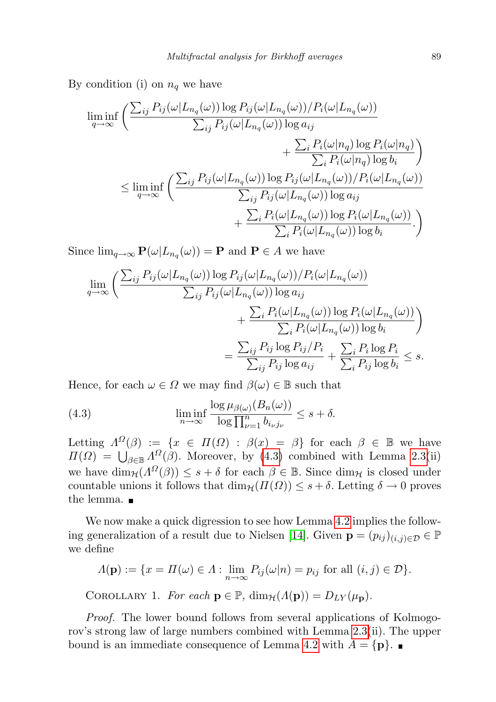By condition (i) on  $n_q$  we have

$$
\liminf_{q \to \infty} \left( \frac{\sum_{ij} P_{ij}(\omega | L_{n_q}(\omega)) \log P_{ij}(\omega | L_{n_q}(\omega)) / P_i(\omega | L_{n_q}(\omega))}{\sum_{ij} P_{ij}(\omega | L_{n_q}(\omega)) \log a_{ij}} + \frac{\sum_{i} P_i(\omega | n_q) \log P_i(\omega | n_q)}{\sum_{i} P_i(\omega | n_q) \log b_i} \right)
$$
\n
$$
\leq \liminf_{q \to \infty} \left( \frac{\sum_{ij} P_{ij}(\omega | L_{n_q}(\omega)) \log P_{ij}(\omega | L_{n_q}(\omega)) / P_i(\omega | L_{n_q}(\omega))}{\sum_{ij} P_{ij}(\omega | L_{n_q}(\omega)) \log a_{ij}} + \frac{\sum_{i} P_i(\omega | L_{n_q}(\omega)) \log P_i(\omega | L_{n_q}(\omega))}{\sum_{i} P_i(\omega | L_{n_q}(\omega)) \log b_i} \right)
$$

Since  $\lim_{q\to\infty} \mathbf{P}(\omega | L_{n_q}(\omega)) = \mathbf{P}$  and  $\mathbf{P} \in A$  we have

$$
\lim_{q \to \infty} \left( \frac{\sum_{ij} P_{ij}(\omega | L_{n_q}(\omega)) \log P_{ij}(\omega | L_{n_q}(\omega)) / P_i(\omega | L_{n_q}(\omega))}{\sum_{ij} P_{ij}(\omega | L_{n_q}(\omega)) \log a_{ij}} + \frac{\sum_{i} P_i(\omega | L_{n_q}(\omega)) \log P_i(\omega | L_{n_q}(\omega))}{\sum_{i} P_i(\omega | L_{n_q}(\omega)) \log b_i} \right)
$$
\n
$$
= \frac{\sum_{ij} P_{ij} \log P_{ij} / P_i}{\sum_{ij} P_{ij} \log a_{ij}} + \frac{\sum_{i} P_i \log P_i}{\sum_{i} P_{ij} \log b_i} \leq s.
$$

Hence, for each  $\omega \in \Omega$  we may find  $\beta(\omega) \in \mathbb{B}$  such that

<span id="page-18-0"></span>(4.3) 
$$
\liminf_{n \to \infty} \frac{\log \mu_{\beta(\omega)}(B_n(\omega))}{\log \prod_{\nu=1}^n b_{i_\nu j_\nu}} \leq s + \delta.
$$

Letting  $\Lambda^{\Omega}(\beta) := \{x \in \Pi(\Omega) : \beta(x) = \beta\}$  for each  $\beta \in \mathbb{B}$  we have  $\Pi(\Omega) = \bigcup_{\beta \in \mathbb{B}} \Lambda^{\Omega}(\beta)$ . Moreover, by [\(4.3\)](#page-18-0) combined with Lemma [2.3\(](#page-6-1)ii) we have  $\dim_{\mathcal{H}}(\Lambda^{\Omega}(\beta)) \leq s + \delta$  for each  $\beta \in \mathbb{B}$ . Since  $\dim_{\mathcal{H}}$  is closed under countable unions it follows that  $\dim_{\mathcal{H}}(H(\Omega)) \leq s + \delta$ . Letting  $\delta \to 0$  proves the lemma.

We now make a quick digression to see how Lemma [4.2](#page-16-0) implies the follow-ing generalization of a result due to Nielsen [\[14\]](#page-22-6). Given  $\mathbf{p} = (p_{ij})_{(i,j)\in\mathcal{D}} \in \mathbb{P}$ we define

$$
\Lambda(\mathbf{p}) := \{ x = \Pi(\omega) \in \Lambda : \lim_{n \to \infty} P_{ij}(\omega|n) = p_{ij} \text{ for all } (i, j) \in \mathcal{D} \}.
$$

COROLLARY 1. For each  $\mathbf{p} \in \mathbb{P}$ ,  $\dim_{\mathcal{H}}(\Lambda(\mathbf{p})) = D_{LY}(\mu_{\mathbf{n}})$ .

Proof. The lower bound follows from several applications of Kolmogorov's strong law of large numbers combined with Lemma [2.3\(](#page-6-1)ii). The upper bound is an immediate consequence of Lemma [4.2](#page-16-0) with  $A = \{p\}$ .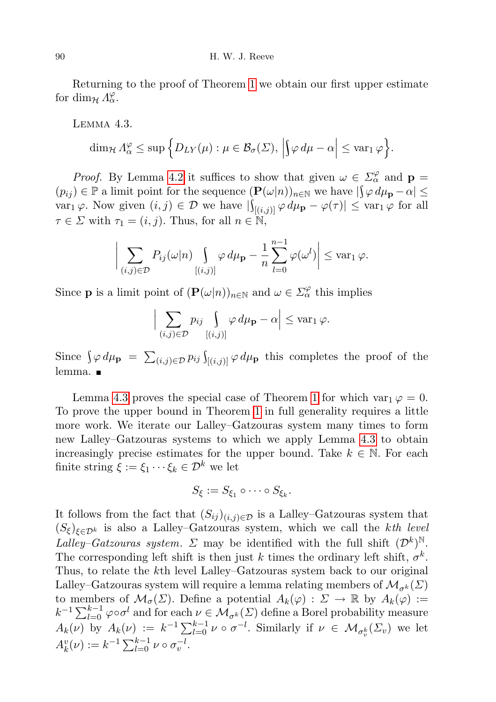<span id="page-19-0"></span>Returning to the proof of Theorem [1](#page-2-0) we obtain our first upper estimate for  $\dim_{\mathcal{H}} \Lambda_{\alpha}^{\varphi}$ .

Lemma 4.3.

 $\Big\}$  $\overline{\phantom{a}}$  $\overline{\phantom{a}}$  $\overline{\phantom{a}}$ 

$$
\dim_{\mathcal{H}} \Lambda_{\alpha}^{\varphi} \leq \sup \Big\{ D_{LY}(\mu) : \mu \in \mathcal{B}_{\sigma}(\Sigma), \Big| \Big\} \varphi \, d\mu - \alpha \Big| \leq \text{var}_1 \, \varphi \Big\}.
$$

*Proof.* By Lemma [4.2](#page-16-0) it suffices to show that given  $\omega \in \Sigma_{\alpha}^{\varphi}$  and  $\mathbf{p} =$  $(p_{ij}) \in \mathbb{P}$  a limit point for the sequence  $(\mathbf{P}(\omega|n))_{n \in \mathbb{N}}$  we have  $|\int \varphi \, d\mu_{\mathbf{p}} - \alpha| \leq$  $var_1 \varphi$ . Now given  $(i, j) \in \mathcal{D}$  we have  $|\int_{[(i, j)]} \varphi \, d\mu_{\mathbf{p}} - \varphi(\tau)| \leq \text{var}_1 \varphi$  for all  $\tau \in \Sigma$  with  $\tau_1 = (i, j)$ . Thus, for all  $n \in \mathbb{N}$ ,

$$
\sum_{(i,j)\in\mathcal{D}} P_{ij}(\omega|n) \int_{[(i,j)]} \varphi \, d\mu_{\mathbf{p}} - \frac{1}{n} \sum_{l=0}^{n-1} \varphi(\omega^l) \Big| \leq \text{var}_1 \, \varphi.
$$

Since **p** is a limit point of  $(\mathbf{P}(\omega|n))_{n\in\mathbb{N}}$  and  $\omega \in \Sigma_\alpha^\varphi$  this implies

$$
\Big|\sum_{(i,j)\in\mathcal{D}}p_{ij}\int_{[(i,j)]}\varphi\,d\mu_{\mathbf{p}}-\alpha\Big|\leq \mathrm{var}_1\,\varphi.
$$

Since  $\int \varphi \, d\mu_{\bf p} = \sum_{(i,j) \in \mathcal{D}} p_{ij} \int_{[(i,j)]} \varphi \, d\mu_{\bf p}$  this completes the proof of the lemma.

Lemma [4.3](#page-19-0) proves the special case of Theorem [1](#page-2-0) for which var<sub>1</sub>  $\varphi = 0$ . To prove the upper bound in Theorem [1](#page-2-0) in full generality requires a little more work. We iterate our Lalley–Gatzouras system many times to form new Lalley–Gatzouras systems to which we apply Lemma [4.3](#page-19-0) to obtain increasingly precise estimates for the upper bound. Take  $k \in \mathbb{N}$ . For each finite string  $\xi := \xi_1 \cdots \xi_k \in \mathcal{D}^k$  we let

$$
S_{\xi} := S_{\xi_1} \circ \cdots \circ S_{\xi_k}.
$$

It follows from the fact that  $(S_{ij})_{(i,j)\in\mathcal{D}}$  is a Lalley–Gatzouras system that  $(S_{\xi})_{\xi \in \mathcal{D}^k}$  is also a Lalley–Gatzouras system, which we call the kth level Lalley–Gatzouras system.  $\Sigma$  may be identified with the full shift  $(D^k)^{\mathbb{N}}$ . The corresponding left shift is then just k times the ordinary left shift,  $\sigma^k$ . Thus, to relate the kth level Lalley–Gatzouras system back to our original Lalley–Gatzouras system will require a lemma relating members of  $\mathcal{M}_{\sigma^{k}}(\Sigma)$ to members of  $\mathcal{M}_{\sigma}(\Sigma)$ . Define a potential  $A_k(\varphi) : \Sigma \to \mathbb{R}$  by  $A_k(\varphi) :=$  $k^{-1} \sum_{l=0}^{k-1} \varphi \circ \sigma^l$  and for each  $\nu \in \mathcal{M}_{\sigma^k}(\Sigma)$  define a Borel probability measure  $A_k(\nu)$  by  $A_k(\nu) := k^{-1} \sum_{l=0}^{k-1} \nu \circ \sigma^{-l}$ . Similarly if  $\nu \in \mathcal{M}_{\sigma_v^k}(\Sigma_v)$  we let  $A_k^v(\nu) := k^{-1} \sum_{l=0}^{k-1} \nu \circ \sigma_v^{-l}.$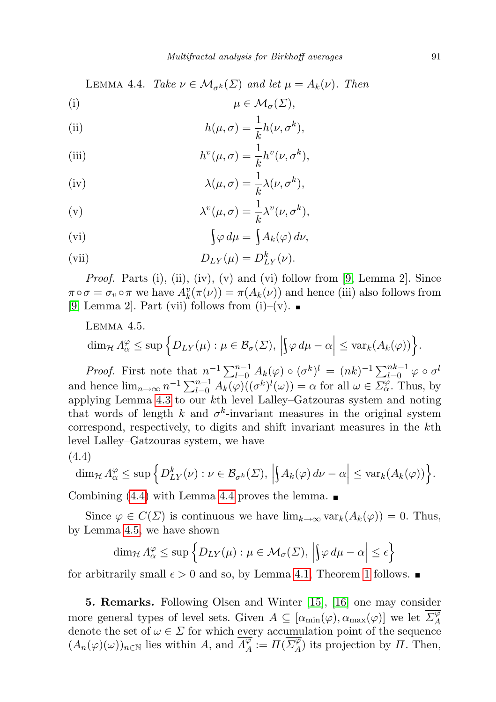<span id="page-20-2"></span>LEMMA 4.4. Take  $\nu \in \mathcal{M}_{\sigma^k}(\Sigma)$  and let  $\mu = A_k(\nu)$ . Then

$$
\mu \in \mathcal{M}_{\sigma}(\Sigma),
$$

(ii) 
$$
h(\mu, \sigma) = \frac{1}{k}h(\nu, \sigma^k),
$$

(iii) 
$$
h^v(\mu, \sigma) = \frac{1}{k} h^v(\nu, \sigma^k),
$$

(iv) 
$$
\lambda(\mu,\sigma) = \frac{1}{k}\lambda(\nu,\sigma^k),
$$

(v) 
$$
\lambda^v(\mu,\sigma) = \frac{1}{k}\lambda^v(\nu,\sigma^k),
$$

$$
\int \varphi \, d\mu = \int A_k(\varphi) \, d\nu,
$$

(vii) 
$$
D_{LY}(\mu) = D_{LY}^k(\nu).
$$

*Proof.* Parts (i), (ii), (iv), (v) and (vi) follow from [\[9,](#page-21-9) Lemma 2]. Since  $\pi \circ \sigma = \sigma_v \circ \pi$  we have  $A_k^v(\pi(\nu)) = \pi(A_k(\nu))$  and hence (iii) also follows from [\[9,](#page-21-9) Lemma 2]. Part (vii) follows from (i)–(v).  $\blacksquare$ 

<span id="page-20-0"></span>Lemma 4.5.

$$
\dim_{\mathcal{H}} \Lambda_{\alpha}^{\varphi} \leq \sup \Big\{ D_{LY}(\mu) : \mu \in \mathcal{B}_{\sigma}(\Sigma), \Big| \Big\} \varphi \, d\mu - \alpha \Big| \leq \text{var}_k(A_k(\varphi)) \Big\}.
$$

*Proof.* First note that  $n^{-1} \sum_{l=0}^{n-1} A_k(\varphi) \circ (\sigma^k)^l = (nk)^{-1} \sum_{l=0}^{nk-1} \varphi \circ \sigma^l$ and hence  $\lim_{n\to\infty} n^{-1} \sum_{l=0}^{n-1} A_k(\varphi) ((\sigma^k)^l(\omega)) = \alpha$  for all  $\omega \in \Sigma_\alpha^\varphi$ . Thus, by applying Lemma [4.3](#page-19-0) to our kth level Lalley–Gatzouras system and noting that words of length k and  $\sigma^k$ -invariant measures in the original system correspond, respectively, to digits and shift invariant measures in the kth level Lalley–Gatzouras system, we have

$$
(4.4)
$$

<span id="page-20-1"></span>
$$
\dim_{\mathcal{H}} \Lambda^{\varphi}_{\alpha} \leq \sup \Big\{ D_{LY}^k(\nu) : \nu \in \mathcal{B}_{\sigma^k}(\Sigma), \, \Big| \big\} A_k(\varphi) \, d\nu - \alpha \Big| \leq \text{var}_k(A_k(\varphi)) \Big\}.
$$

Combining [\(4.4\)](#page-20-1) with Lemma [4.4](#page-20-2) proves the lemma.  $\blacksquare$ 

Since  $\varphi \in C(\Sigma)$  is continuous we have  $\lim_{k\to\infty} \text{var}_k(A_k(\varphi)) = 0$ . Thus, by Lemma [4.5,](#page-20-0) we have shown

$$
\dim_{\mathcal{H}} \Lambda_{\alpha}^{\varphi} \leq \sup \left\{ D_{LY}(\mu) : \mu \in \mathcal{M}_{\sigma}(\Sigma), \left| \int \varphi \, d\mu - \alpha \right| \leq \epsilon \right\}
$$

for arbitrarily small  $\epsilon > 0$  and so, by Lemma [4.1,](#page-14-2) Theorem [1](#page-2-0) follows.

5. Remarks. Following Olsen and Winter [\[15\]](#page-22-1), [\[16\]](#page-22-7) one may consider more general types of level sets. Given  $A \subseteq [\alpha_{\min}(\varphi), \alpha_{\max}(\varphi)]$  we let  $\overline{\Sigma^{\varphi}_A}$ A denote the set of  $\omega \in \Sigma$  for which every accumulation point of the sequence  $(A_n(\varphi)(\omega))_{n\in\mathbb{N}}$  lies within A, and  $\overline{\Lambda_A^{\varphi}}$  $\overline{\mathscr{A}}_{A}^{\varphi} := \Pi(\overline{\Sigma_{A}^{\varphi}})$  $\mathcal{A}_{A}^{\varphi}$  its projection by  $\Pi$ . Then,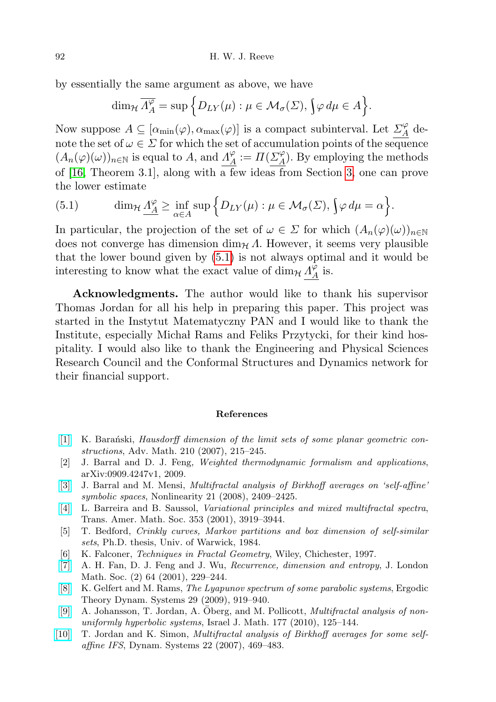by essentially the same argument as above, we have

$$
\dim_{\mathcal{H}} \overline{\Lambda_A^{\varphi}} = \sup \Big\{ D_{LY}(\mu) : \mu \in \mathcal{M}_{\sigma}(\Sigma), \bigg\} \varphi \, d\mu \in A \Big\}.
$$

Now suppose  $A \subseteq [\alpha_{\min}(\varphi), \alpha_{\max}(\varphi)]$  is a compact subinterval. Let  $\mathcal{L}_A^{\varphi}$  $\frac{d}{A}$  denote the set of  $\omega \in \Sigma$  for which the set of accumulation points of the sequence  $(A_n(\varphi)(\omega))_{n\in\mathbb{N}}$  is equal to A, and  $\Lambda_A^{\varphi}$  $\frac{\varphi}{A} := \Pi(\underline{\Sigma}_{A}^{\varphi})$  $\frac{A}{A}$ ). By employing the methods of [\[16,](#page-22-7) Theorem 3.1], along with a few ideas from Section [3,](#page-6-0) one can prove the lower estimate

<span id="page-21-10"></span>(5.1) 
$$
\dim_{\mathcal{H}} \underline{\Lambda_A^{\varphi}} \geq \inf_{\alpha \in A} \sup \Big\{ D_{LY}(\mu) : \mu \in \mathcal{M}_{\sigma}(\Sigma), \int \varphi \, d\mu = \alpha \Big\}.
$$

In particular, the projection of the set of  $\omega \in \Sigma$  for which  $(A_n(\varphi)(\omega))_{n\in\mathbb{N}}$ does not converge has dimension  $\dim_{\mathcal{H}} \Lambda$ . However, it seems very plausible that the lower bound given by [\(5.1\)](#page-21-10) is not always optimal and it would be interesting to know what the exact value of  $\dim_{\mathcal{H}} \Lambda_A^{\tilde{\varphi}}$  $\frac{\varphi}{A}$  is.

Acknowledgments. The author would like to thank his supervisor Thomas Jordan for all his help in preparing this paper. This project was started in the Instytut Matematyczny PAN and I would like to thank the Institute, especially Michał Rams and Feliks Przytycki, for their kind hospitality. I would also like to thank the Engineering and Physical Sciences Research Council and the Conformal Structures and Dynamics network for their financial support.

## References

- <span id="page-21-7"></span>[\[1\]](http://dx.doi.org/10.1016/j.aim.2006.06.005) K. Baranski, Hausdorff dimension of the limit sets of some planar geometric constructions, Adv. Math. 210 (2007), 215–245.
- <span id="page-21-4"></span>[2] J. Barral and D. J. Feng, Weighted thermodynamic formalism and applications, arXiv:0909.4247v1, 2009.
- <span id="page-21-3"></span>[\[3\]](http://dx.doi.org/10.1088/0951-7715/21/10/011) J. Barral and M. Mensi, *Multifractal analysis of Birkhoff averages on 'self-affine'* symbolic spaces, Nonlinearity 21 (2008), 2409–2425.
- <span id="page-21-1"></span>[\[4\]](http://dx.doi.org/10.1090/S0002-9947-01-02844-6) L. Barreira and B. Saussol, Variational principles and mixed multifractal spectra, Trans. Amer. Math. Soc. 353 (2001), 3919–3944.
- <span id="page-21-5"></span>[5] T. Bedford, Crinkly curves, Markov partitions and box dimension of self-similar sets, Ph.D. thesis, Univ. of Warwick, 1984.
- <span id="page-21-8"></span>[6] K. Falconer, Techniques in Fractal Geometry, Wiley, Chichester, 1997.
- <span id="page-21-0"></span>[\[7\]](http://dx.doi.org/10.1017/S0024610701002137) A. H. Fan, D. J. Feng and J. Wu, Recurrence, dimension and entropy, J. London Math. Soc. (2) 64 (2001), 229–244.
- <span id="page-21-6"></span>[\[8\]](http://dx.doi.org/10.1017/S0143385708080462) K. Gelfert and M. Rams, The Lyapunov spectrum of some parabolic systems, Ergodic Theory Dynam. Systems 29 (2009), 919–940.
- <span id="page-21-9"></span>[\[9\]](http://dx.doi.org/10.1007/s11856-010-0040-y) A. Johansson, T. Jordan, A. Oberg, and M. Pollicott, *Multifractal analysis of non*uniformly hyperbolic systems, Israel J. Math. 177 (2010), 125–144.
- <span id="page-21-2"></span>[\[10\]](http://dx.doi.org/10.1080/14689360701524305) T. Jordan and K. Simon, Multifractal analysis of Birkhoff averages for some selfaffine IFS, Dynam. Systems 22 (2007), 469–483.